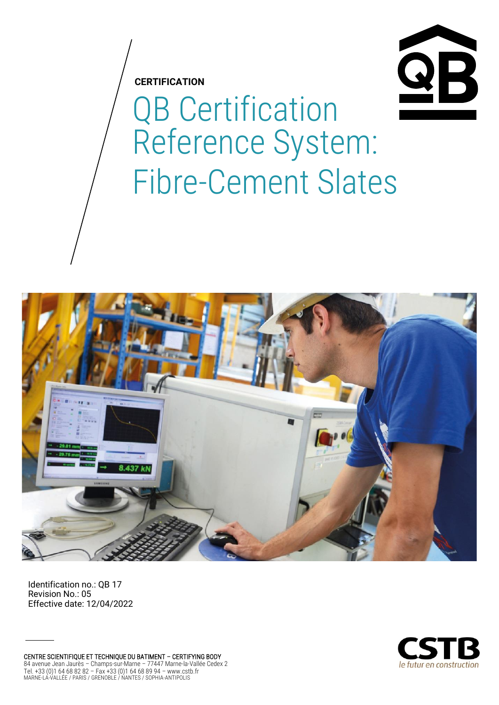**CERTIFICATION**



# QB Certification Reference System: Fibre-Cement Slates



Identification no.: QB 17 Revision No.: 05 Effective date: 12/04/2022

CENTRE SCIENTIFIQUE ET TECHNIQUE DU BATIMENT – CERTIFYING BODY 84 avenue Jean Jaurès – Champs-sur-Marne – 77447 Marne-la-Vallée Cedex 2 Tel. +33 (0)1 64 68 82 82 – Fax +33 (0)1 64 68 89 94 – www.cstb.fr MARNE-LA-VALLÉE / PARIS / GRENOBLE / NANTES / SOPHIA-ANTIPOLIS

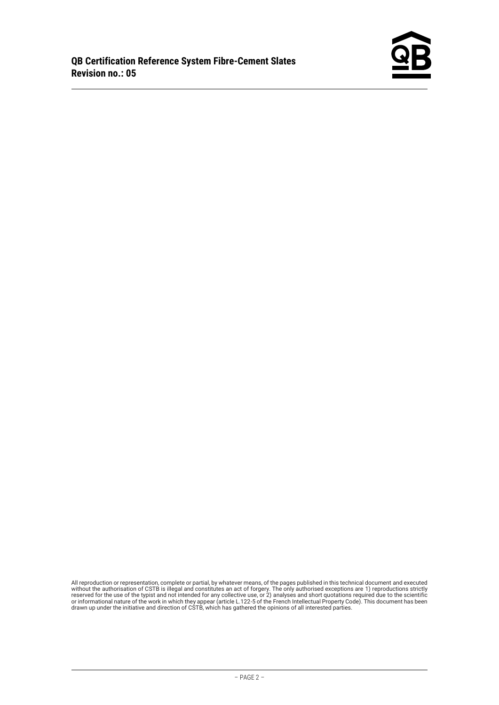

All reproduction or representation, complete or partial, by whatever means, of the pages published in this technical document and executed<br>without the authorisation of CSTB is illegal and constitutes an act of forgery. The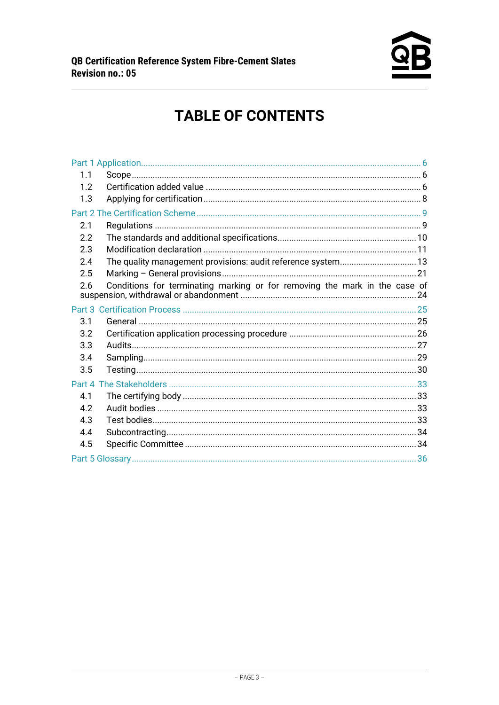

# **TABLE OF CONTENTS**

| 1.1 |                                                                            |  |
|-----|----------------------------------------------------------------------------|--|
| 12  |                                                                            |  |
| 1.3 |                                                                            |  |
|     |                                                                            |  |
| 2.1 |                                                                            |  |
| 2.2 |                                                                            |  |
| 2.3 |                                                                            |  |
| 2.4 | The quality management provisions: audit reference system 13               |  |
| 2.5 |                                                                            |  |
| 2.6 | Conditions for terminating marking or for removing the mark in the case of |  |
|     |                                                                            |  |
| 3.1 |                                                                            |  |
| 3.2 |                                                                            |  |
| 3.3 |                                                                            |  |
| 3.4 |                                                                            |  |
| 3.5 |                                                                            |  |
|     |                                                                            |  |
| 4.1 |                                                                            |  |
| 4.2 |                                                                            |  |
| 4.3 |                                                                            |  |
| 4.4 |                                                                            |  |
| 4.5 |                                                                            |  |
|     |                                                                            |  |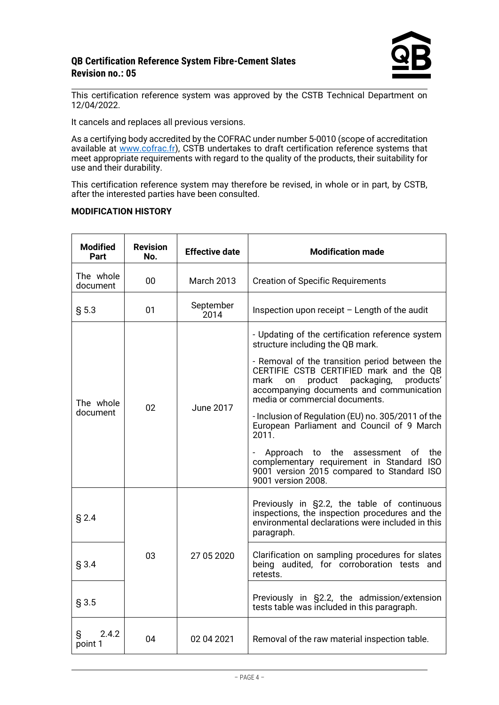

This certification reference system was approved by the CSTB Technical Department on 12/04/2022.

It cancels and replaces all previous versions.

As a certifying body accredited by the COFRAC under number 5-0010 (scope of accreditation available at [www.cofrac.fr\)](http://www.cofrac.fr/), CSTB undertakes to draft certification reference systems that meet appropriate requirements with regard to the quality of the products, their suitability for use and their durability.

This certification reference system may therefore be revised, in whole or in part, by CSTB, after the interested parties have been consulted.

#### **MODIFICATION HISTORY**

| <b>Modified</b><br>Part | <b>Revision</b><br>No. | <b>Effective date</b> | <b>Modification made</b>                                                                                                                                                                                                                                                                                                                                                                                                                                                                                                                                                                  |
|-------------------------|------------------------|-----------------------|-------------------------------------------------------------------------------------------------------------------------------------------------------------------------------------------------------------------------------------------------------------------------------------------------------------------------------------------------------------------------------------------------------------------------------------------------------------------------------------------------------------------------------------------------------------------------------------------|
| The whole<br>document   | 00                     | <b>March 2013</b>     | <b>Creation of Specific Requirements</b>                                                                                                                                                                                                                                                                                                                                                                                                                                                                                                                                                  |
| § 5.3                   | 01                     | September<br>2014     | Inspection upon receipt - Length of the audit                                                                                                                                                                                                                                                                                                                                                                                                                                                                                                                                             |
| The whole<br>document   | 02                     | June 2017             | - Updating of the certification reference system<br>structure including the QB mark.<br>- Removal of the transition period between the<br>CERTIFIE CSTB CERTIFIED mark and the QB<br>mark<br>product<br>packaging,<br>products'<br>on<br>accompanying documents and communication<br>media or commercial documents.<br>- Inclusion of Regulation (EU) no. 305/2011 of the<br>European Parliament and Council of 9 March<br>2011.<br>Approach to the assessment of<br>the<br>complementary requirement in Standard ISO<br>9001 version 2015 compared to Standard ISO<br>9001 version 2008. |
| $§$ 2.4                 |                        |                       | Previously in §2.2, the table of continuous<br>inspections, the inspection procedures and the<br>environmental declarations were included in this<br>paragraph.                                                                                                                                                                                                                                                                                                                                                                                                                           |
| $§$ 3.4                 | 27 05 2020<br>03       |                       | Clarification on sampling procedures for slates<br>being audited, for corroboration tests and<br>retests.                                                                                                                                                                                                                                                                                                                                                                                                                                                                                 |
| $§$ 3.5                 |                        |                       | Previously in §2.2, the admission/extension<br>tests table was included in this paragraph.                                                                                                                                                                                                                                                                                                                                                                                                                                                                                                |
| 2.4.2<br>S<br>point 1   | 04                     | 02 04 2021            | Removal of the raw material inspection table.                                                                                                                                                                                                                                                                                                                                                                                                                                                                                                                                             |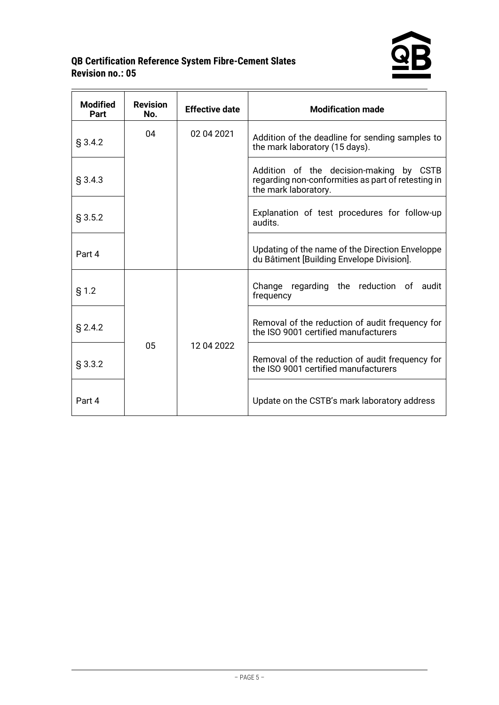

| <b>Modified</b><br>Part | <b>Revision</b><br>No. | <b>Effective date</b> | <b>Modification made</b>                                                                                              |
|-------------------------|------------------------|-----------------------|-----------------------------------------------------------------------------------------------------------------------|
| § 3.4.2                 | 04                     | 02 04 2021            | Addition of the deadline for sending samples to<br>the mark laboratory (15 days).                                     |
| § 3.4.3                 |                        |                       | Addition of the decision-making by CSTB<br>regarding non-conformities as part of retesting in<br>the mark laboratory. |
| § 3.5.2                 |                        |                       | Explanation of test procedures for follow-up<br>audits.                                                               |
| Part 4                  |                        |                       | Updating of the name of the Direction Enveloppe<br>du Bâtiment [Building Envelope Division].                          |
| § 1.2                   |                        |                       | Change regarding the reduction of audit<br>frequency                                                                  |
| § 2.4.2                 |                        |                       | Removal of the reduction of audit frequency for<br>the ISO 9001 certified manufacturers                               |
| § 3.3.2                 | 05                     | 12 04 2022            | Removal of the reduction of audit frequency for<br>the ISO 9001 certified manufacturers                               |
| Part 4                  |                        |                       | Update on the CSTB's mark laboratory address                                                                          |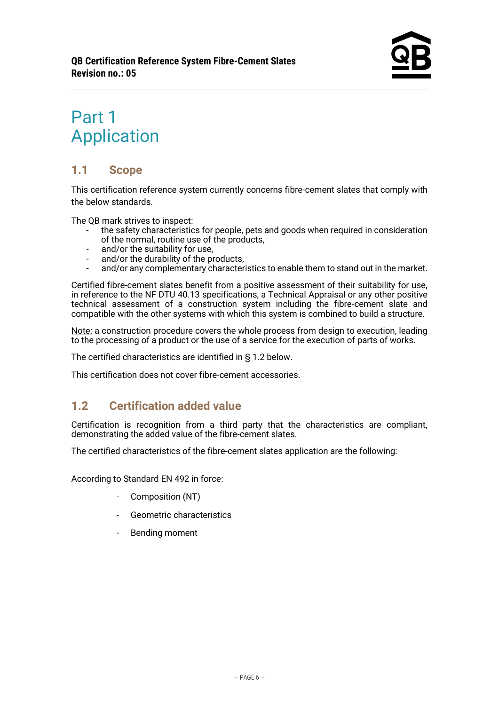# <span id="page-5-0"></span>Part 1 Application

# <span id="page-5-1"></span>**1.1 Scope**

This certification reference system currently concerns fibre-cement slates that comply with the below standards.

The QB mark strives to inspect:

- the safety characteristics for people, pets and goods when required in consideration of the normal, routine use of the products,
- and/or the suitability for use.
- and/or the durability of the products,
- and/or any complementary characteristics to enable them to stand out in the market.

Certified fibre-cement slates benefit from a positive assessment of their suitability for use, in reference to the NF DTU 40.13 specifications, a Technical Appraisal or any other positive technical assessment of a construction system including the fibre-cement slate and compatible with the other systems with which this system is combined to build a structure.

Note: a construction procedure covers the whole process from design to execution, leading to the processing of a product or the use of a service for the execution of parts of works.

The certified characteristics are identified in § 1.2 below.

This certification does not cover fibre-cement accessories.

# <span id="page-5-2"></span>**1.2 Certification added value**

Certification is recognition from a third party that the characteristics are compliant, demonstrating the added value of the fibre-cement slates.

The certified characteristics of the fibre-cement slates application are the following:

According to Standard EN 492 in force:

- Composition (NT)
- Geometric characteristics
- Bending moment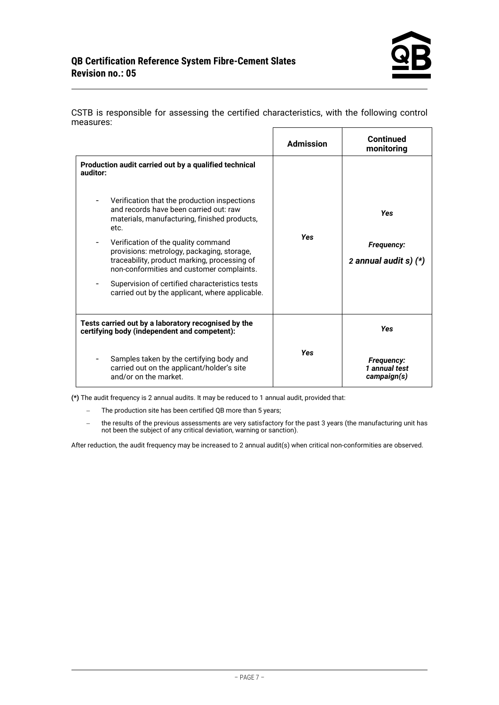| ilicusulcs.                                                                                                                                                                                                |                  |                                              |
|------------------------------------------------------------------------------------------------------------------------------------------------------------------------------------------------------------|------------------|----------------------------------------------|
|                                                                                                                                                                                                            | <b>Admission</b> | <b>Continued</b><br>monitoring               |
| Production audit carried out by a qualified technical<br>auditor:                                                                                                                                          |                  |                                              |
| Verification that the production inspections<br>and records have been carried out: raw<br>materials, manufacturing, finished products,<br>etc.                                                             |                  | <b>Yes</b>                                   |
| Verification of the quality command<br>$\overline{\phantom{a}}$<br>provisions: metrology, packaging, storage,<br>traceability, product marking, processing of<br>non-conformities and customer complaints. | <b>Yes</b>       | <b>Frequency:</b><br>2 annual audit s) $(*)$ |
| Supervision of certified characteristics tests<br>carried out by the applicant, where applicable.                                                                                                          |                  |                                              |
| Tests carried out by a laboratory recognised by the<br>certifying body (independent and competent):                                                                                                        |                  | <b>Yes</b>                                   |
| Samples taken by the certifying body and<br>carried out on the applicant/holder's site<br>and/or on the market.                                                                                            | <b>Yes</b>       | Frequency:<br>1 annual test<br>campaign(s)   |

CSTB is responsible for assessing the certified characteristics, with the following control measures:

**(\*)** The audit frequency is 2 annual audits. It may be reduced to 1 annual audit, provided that:

- − The production site has been certified QB more than 5 years;
- − the results of the previous assessments are very satisfactory for the past 3 years (the manufacturing unit has not been the subject of any critical deviation, warning or sanction).

After reduction, the audit frequency may be increased to 2 annual audit(s) when critical non-conformities are observed.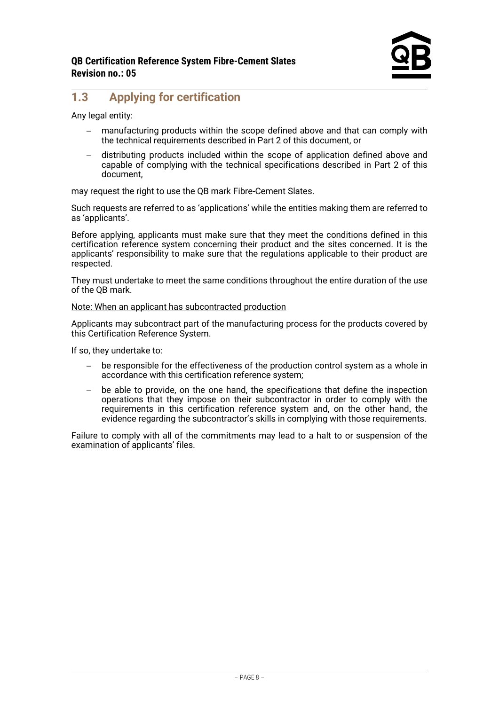# <span id="page-7-0"></span>**1.3 Applying for certification**

Any legal entity:

- manufacturing products within the scope defined above and that can comply with the technical requirements described in Part 2 of this document, or
- − distributing products included within the scope of application defined above and capable of complying with the technical specifications described in Part 2 of this document,

may request the right to use the QB mark Fibre-Cement Slates.

Such requests are referred to as 'applications' while the entities making them are referred to as 'applicants'.

Before applying, applicants must make sure that they meet the conditions defined in this certification reference system concerning their product and the sites concerned. It is the applicants' responsibility to make sure that the regulations applicable to their product are respected.

They must undertake to meet the same conditions throughout the entire duration of the use of the QB mark.

Note: When an applicant has subcontracted production

Applicants may subcontract part of the manufacturing process for the products covered by this Certification Reference System.

If so, they undertake to:

- be responsible for the effectiveness of the production control system as a whole in accordance with this certification reference system;
- be able to provide, on the one hand, the specifications that define the inspection operations that they impose on their subcontractor in order to comply with the requirements in this certification reference system and, on the other hand, the evidence regarding the subcontractor's skills in complying with those requirements.

Failure to comply with all of the commitments may lead to a halt to or suspension of the examination of applicants' files.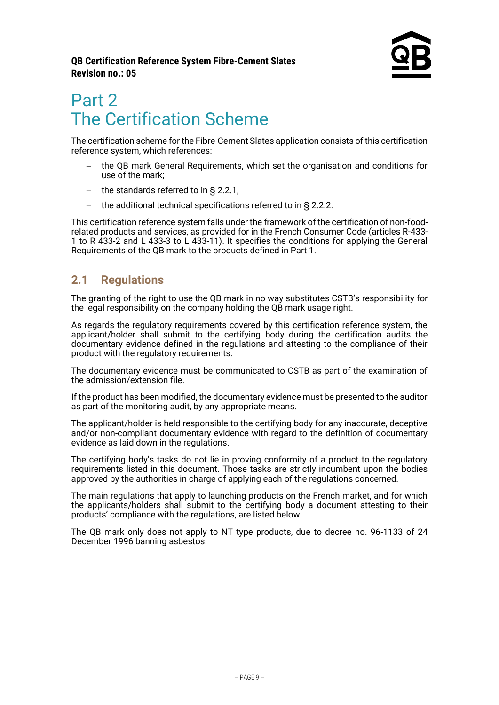# <span id="page-8-0"></span>Part 2 The Certification Scheme

The certification scheme for the Fibre-Cement Slates application consists of this certification reference system, which references:

- − the QB mark General Requirements, which set the organisation and conditions for use of the mark;
- − the standards referred to in § 2.2.1,
- − the additional technical specifications referred to in § 2.2.2.

This certification reference system falls under the framework of the certification of non-foodrelated products and services, as provided for in the French Consumer Code (articles R-433- 1 to R 433-2 and L 433-3 to L 433-11). It specifies the conditions for applying the General Requirements of the QB mark to the products defined in Part 1.

# <span id="page-8-1"></span>**2.1 Regulations**

The granting of the right to use the QB mark in no way substitutes CSTB's responsibility for the legal responsibility on the company holding the OB mark usage right.

As regards the regulatory requirements covered by this certification reference system, the applicant/holder shall submit to the certifying body during the certification audits the documentary evidence defined in the regulations and attesting to the compliance of their product with the regulatory requirements.

The documentary evidence must be communicated to CSTB as part of the examination of the admission/extension file.

If the product has been modified, the documentary evidence must be presented to the auditor as part of the monitoring audit, by any appropriate means.

The applicant/holder is held responsible to the certifying body for any inaccurate, deceptive and/or non-compliant documentary evidence with regard to the definition of documentary evidence as laid down in the regulations.

The certifying body's tasks do not lie in proving conformity of a product to the regulatory requirements listed in this document. Those tasks are strictly incumbent upon the bodies approved by the authorities in charge of applying each of the regulations concerned.

The main regulations that apply to launching products on the French market, and for which the applicants/holders shall submit to the certifying body a document attesting to their products' compliance with the regulations, are listed below.

The QB mark only does not apply to NT type products, due to decree no. 96-1133 of 24 December 1996 banning asbestos.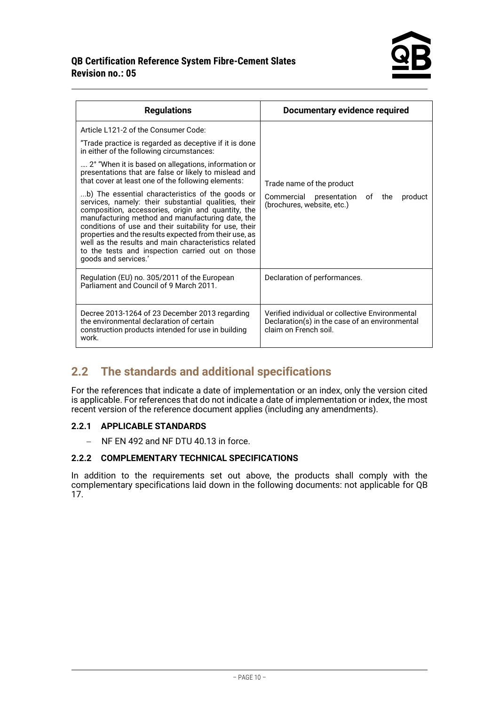

| <b>Regulations</b>                                                                                                                                                                                                                                                                                                                                                                                                                                                                                                                                                                                                                                                                                                                                                                              | Documentary evidence required                                                                                              |
|-------------------------------------------------------------------------------------------------------------------------------------------------------------------------------------------------------------------------------------------------------------------------------------------------------------------------------------------------------------------------------------------------------------------------------------------------------------------------------------------------------------------------------------------------------------------------------------------------------------------------------------------------------------------------------------------------------------------------------------------------------------------------------------------------|----------------------------------------------------------------------------------------------------------------------------|
| Article L121-2 of the Consumer Code:<br>"Trade practice is regarded as deceptive if it is done<br>in either of the following circumstances:<br>2° "When it is based on allegations, information or<br>presentations that are false or likely to mislead and<br>that cover at least one of the following elements:<br>b) The essential characteristics of the goods or<br>services, namely: their substantial qualities, their<br>composition, accessories, origin and quantity, the<br>manufacturing method and manufacturing date, the<br>conditions of use and their suitability for use, their<br>properties and the results expected from their use, as<br>well as the results and main characteristics related<br>to the tests and inspection carried out on those<br>goods and services.' | Trade name of the product<br>Commercial<br>presentation of the<br>product<br>(brochures, website, etc.)                    |
| Regulation (EU) no. 305/2011 of the European<br>Parliament and Council of 9 March 2011.                                                                                                                                                                                                                                                                                                                                                                                                                                                                                                                                                                                                                                                                                                         | Declaration of performances.                                                                                               |
| Decree 2013-1264 of 23 December 2013 regarding<br>the environmental declaration of certain<br>construction products intended for use in building<br>work.                                                                                                                                                                                                                                                                                                                                                                                                                                                                                                                                                                                                                                       | Verified individual or collective Environmental<br>Declaration(s) in the case of an environmental<br>claim on French soil. |

# <span id="page-9-0"></span>**2.2 The standards and additional specifications**

For the references that indicate a date of implementation or an index, only the version cited is applicable. For references that do not indicate a date of implementation or index, the most recent version of the reference document applies (including any amendments).

#### **2.2.1 APPLICABLE STANDARDS**

− NF EN 492 and NF DTU 40.13 in force.

#### **2.2.2 COMPLEMENTARY TECHNICAL SPECIFICATIONS**

In addition to the requirements set out above, the products shall comply with the complementary specifications laid down in the following documents: not applicable for QB 17.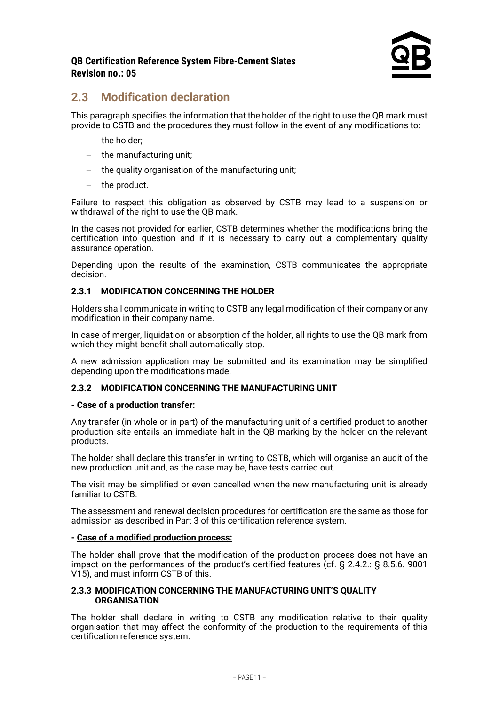# <span id="page-10-0"></span>**2.3 Modification declaration**

This paragraph specifies the information that the holder of the right to use the QB mark must provide to CSTB and the procedures they must follow in the event of any modifications to:

- − the holder;
- − the manufacturing unit;
- − the quality organisation of the manufacturing unit;
- − the product.

Failure to respect this obligation as observed by CSTB may lead to a suspension or withdrawal of the right to use the OB mark.

In the cases not provided for earlier, CSTB determines whether the modifications bring the certification into question and if it is necessary to carry out a complementary quality assurance operation.

Depending upon the results of the examination, CSTB communicates the appropriate decision.

#### **2.3.1 MODIFICATION CONCERNING THE HOLDER**

Holders shall communicate in writing to CSTB any legal modification of their company or any modification in their company name.

In case of merger, liquidation or absorption of the holder, all rights to use the QB mark from which they might benefit shall automatically stop.

A new admission application may be submitted and its examination may be simplified depending upon the modifications made.

#### **2.3.2 MODIFICATION CONCERNING THE MANUFACTURING UNIT**

#### **- Case of a production transfer:**

Any transfer (in whole or in part) of the manufacturing unit of a certified product to another production site entails an immediate halt in the QB marking by the holder on the relevant products.

The holder shall declare this transfer in writing to CSTB, which will organise an audit of the new production unit and, as the case may be, have tests carried out.

The visit may be simplified or even cancelled when the new manufacturing unit is already familiar to CSTB.

The assessment and renewal decision procedures for certification are the same as those for admission as described in Part 3 of this certification reference system.

#### **- Case of a modified production process:**

The holder shall prove that the modification of the production process does not have an impact on the performances of the product's certified features (cf. § 2.4.2.: § 8.5.6. 9001 V15), and must inform CSTB of this.

#### **2.3.3 MODIFICATION CONCERNING THE MANUFACTURING UNIT'S QUALITY ORGANISATION**

The holder shall declare in writing to CSTB any modification relative to their quality organisation that may affect the conformity of the production to the requirements of this certification reference system.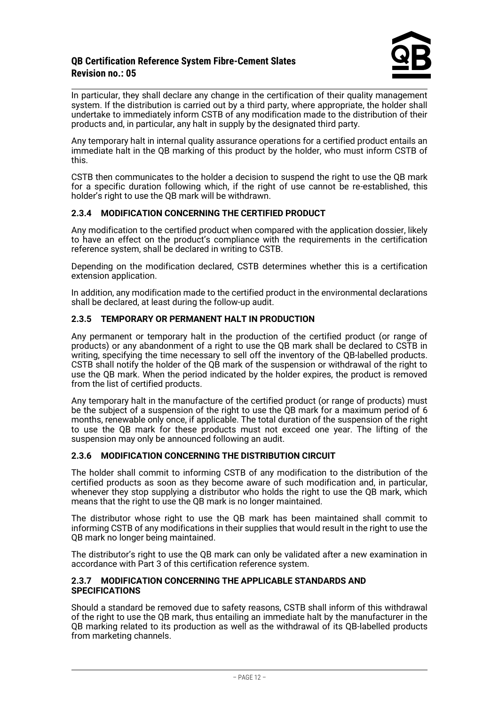In particular, they shall declare any change in the certification of their quality management system. If the distribution is carried out by a third party, where appropriate, the holder shall undertake to immediately inform CSTB of any modification made to the distribution of their products and, in particular, any halt in supply by the designated third party.

Any temporary halt in internal quality assurance operations for a certified product entails an immediate halt in the QB marking of this product by the holder, who must inform CSTB of this.

CSTB then communicates to the holder a decision to suspend the right to use the QB mark for a specific duration following which, if the right of use cannot be re-established, this holder's right to use the QB mark will be withdrawn.

#### **2.3.4 MODIFICATION CONCERNING THE CERTIFIED PRODUCT**

Any modification to the certified product when compared with the application dossier, likely to have an effect on the product's compliance with the requirements in the certification reference system, shall be declared in writing to CSTB.

Depending on the modification declared, CSTB determines whether this is a certification extension application.

In addition, any modification made to the certified product in the environmental declarations shall be declared, at least during the follow-up audit.

#### **2.3.5 TEMPORARY OR PERMANENT HALT IN PRODUCTION**

Any permanent or temporary halt in the production of the certified product (or range of products) or any abandonment of a right to use the QB mark shall be declared to CSTB in writing, specifying the time necessary to sell off the inventory of the QB-labelled products. CSTB shall notify the holder of the QB mark of the suspension or withdrawal of the right to use the QB mark. When the period indicated by the holder expires, the product is removed from the list of certified products.

Any temporary halt in the manufacture of the certified product (or range of products) must be the subject of a suspension of the right to use the QB mark for a maximum period of 6 months, renewable only once, if applicable. The total duration of the suspension of the right to use the QB mark for these products must not exceed one year. The lifting of the suspension may only be announced following an audit.

#### **2.3.6 MODIFICATION CONCERNING THE DISTRIBUTION CIRCUIT**

The holder shall commit to informing CSTB of any modification to the distribution of the certified products as soon as they become aware of such modification and, in particular, whenever they stop supplying a distributor who holds the right to use the QB mark, which means that the right to use the QB mark is no longer maintained.

The distributor whose right to use the QB mark has been maintained shall commit to informing CSTB of any modifications in their supplies that would result in the right to use the QB mark no longer being maintained.

The distributor's right to use the QB mark can only be validated after a new examination in accordance with Part 3 of this certification reference system.

#### **2.3.7 MODIFICATION CONCERNING THE APPLICABLE STANDARDS AND SPECIFICATIONS**

Should a standard be removed due to safety reasons, CSTB shall inform of this withdrawal of the right to use the QB mark, thus entailing an immediate halt by the manufacturer in the QB marking related to its production as well as the withdrawal of its QB-labelled products from marketing channels.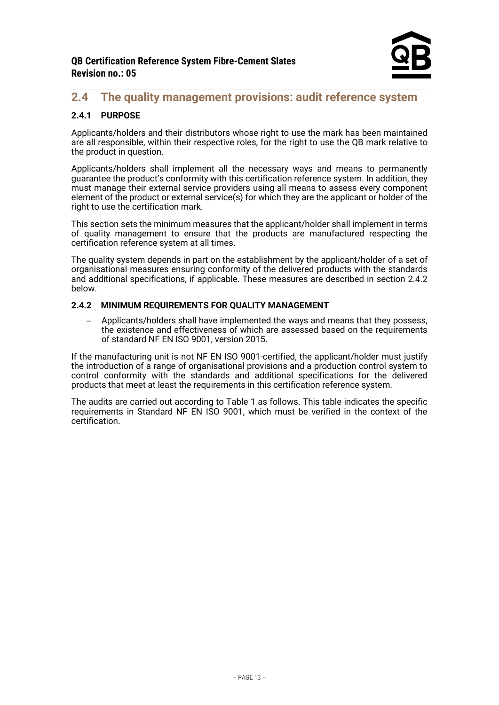# <span id="page-12-0"></span>**2.4 The quality management provisions: audit reference system**

#### **2.4.1 PURPOSE**

Applicants/holders and their distributors whose right to use the mark has been maintained are all responsible, within their respective roles, for the right to use the QB mark relative to the product in question.

Applicants/holders shall implement all the necessary ways and means to permanently guarantee the product's conformity with this certification reference system. In addition, they must manage their external service providers using all means to assess every component element of the product or external service(s) for which they are the applicant or holder of the right to use the certification mark.

This section sets the minimum measures that the applicant/holder shall implement in terms of quality management to ensure that the products are manufactured respecting the certification reference system at all times.

The quality system depends in part on the establishment by the applicant/holder of a set of organisational measures ensuring conformity of the delivered products with the standards and additional specifications, if applicable. These measures are described in section 2.4.2 below.

#### **2.4.2 MINIMUM REQUIREMENTS FOR QUALITY MANAGEMENT**

− Applicants/holders shall have implemented the ways and means that they possess, the existence and effectiveness of which are assessed based on the requirements of standard NF EN ISO 9001, version 2015.

If the manufacturing unit is not NF EN ISO 9001-certified, the applicant/holder must justify the introduction of a range of organisational provisions and a production control system to control conformity with the standards and additional specifications for the delivered products that meet at least the requirements in this certification reference system.

The audits are carried out according to Table 1 as follows. This table indicates the specific requirements in Standard NF EN ISO 9001, which must be verified in the context of the certification.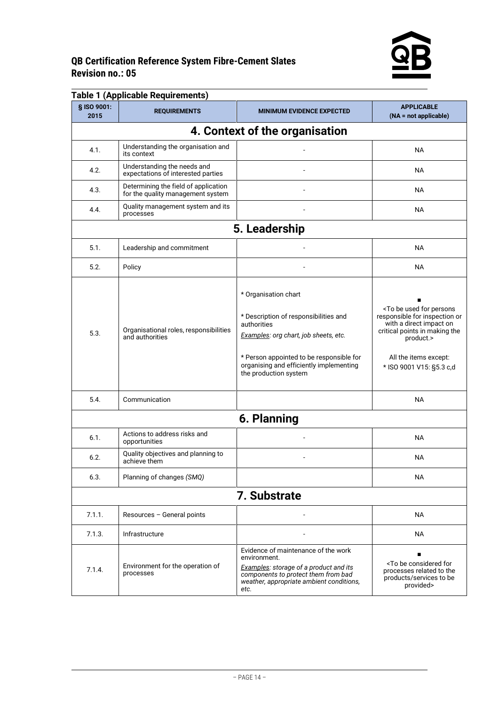

| § ISO 9001: | <b>Table 1 (Applicable Requirements)</b>                                  |                                                                                                                                                                                                                                       | <b>APPLICABLE</b>                                                                                                                                                                                               |
|-------------|---------------------------------------------------------------------------|---------------------------------------------------------------------------------------------------------------------------------------------------------------------------------------------------------------------------------------|-----------------------------------------------------------------------------------------------------------------------------------------------------------------------------------------------------------------|
| 2015        | <b>REQUIREMENTS</b>                                                       | <b>MINIMUM EVIDENCE EXPECTED</b>                                                                                                                                                                                                      | $(NA = not applicable)$                                                                                                                                                                                         |
|             |                                                                           | 4. Context of the organisation                                                                                                                                                                                                        |                                                                                                                                                                                                                 |
| 4.1.        | Understanding the organisation and<br>its context                         |                                                                                                                                                                                                                                       | <b>NA</b>                                                                                                                                                                                                       |
| 4.2.        | Understanding the needs and<br>expectations of interested parties         |                                                                                                                                                                                                                                       | <b>NA</b>                                                                                                                                                                                                       |
| 4.3.        | Determining the field of application<br>for the quality management system |                                                                                                                                                                                                                                       | <b>NA</b>                                                                                                                                                                                                       |
| 4.4.        | Quality management system and its<br>processes                            |                                                                                                                                                                                                                                       | <b>NA</b>                                                                                                                                                                                                       |
|             |                                                                           | 5. Leadership                                                                                                                                                                                                                         |                                                                                                                                                                                                                 |
| 5.1.        | Leadership and commitment                                                 |                                                                                                                                                                                                                                       | <b>NA</b>                                                                                                                                                                                                       |
| 5.2.        | Policy                                                                    |                                                                                                                                                                                                                                       | <b>NA</b>                                                                                                                                                                                                       |
| 5.3.        | Organisational roles, responsibilities<br>and authorities                 | * Organisation chart<br>* Description of responsibilities and<br>authorities<br>Examples: org chart, job sheets, etc.<br>* Person appointed to be responsible for<br>organising and efficiently implementing<br>the production system | <to be="" for="" persons<br="" used="">responsible for inspection or<br/>with a direct impact on<br/>critical points in making the<br/>product.&gt;<br/>All the items except:<br/>* ISO 9001 V15: §5.3 c,d</to> |
| 5.4.        | Communication                                                             |                                                                                                                                                                                                                                       | <b>NA</b>                                                                                                                                                                                                       |
|             |                                                                           | 6. Planning                                                                                                                                                                                                                           |                                                                                                                                                                                                                 |
| 6.1.        | Actions to address risks and<br>opportunities                             |                                                                                                                                                                                                                                       | <b>NA</b>                                                                                                                                                                                                       |
| 6.2.        | Quality objectives and planning to<br>achieve them                        |                                                                                                                                                                                                                                       | <b>NA</b>                                                                                                                                                                                                       |
| 6.3.        | Planning of changes (SMQ)                                                 |                                                                                                                                                                                                                                       | <b>NA</b>                                                                                                                                                                                                       |
|             |                                                                           | 7. Substrate                                                                                                                                                                                                                          |                                                                                                                                                                                                                 |
| 7.1.1.      | Resources - General points                                                |                                                                                                                                                                                                                                       | NА                                                                                                                                                                                                              |
| 7.1.3.      | Infrastructure                                                            |                                                                                                                                                                                                                                       | <b>NA</b>                                                                                                                                                                                                       |
| 7.1.4.      | Environment for the operation of<br>processes                             | Evidence of maintenance of the work<br>environment.<br>Examples: storage of a product and its<br>components to protect them from bad<br>weather, appropriate ambient conditions,<br>etc.                                              | <to be="" considered="" for<br="">processes related to the<br/>products/services to be<br/>provided&gt;</to>                                                                                                    |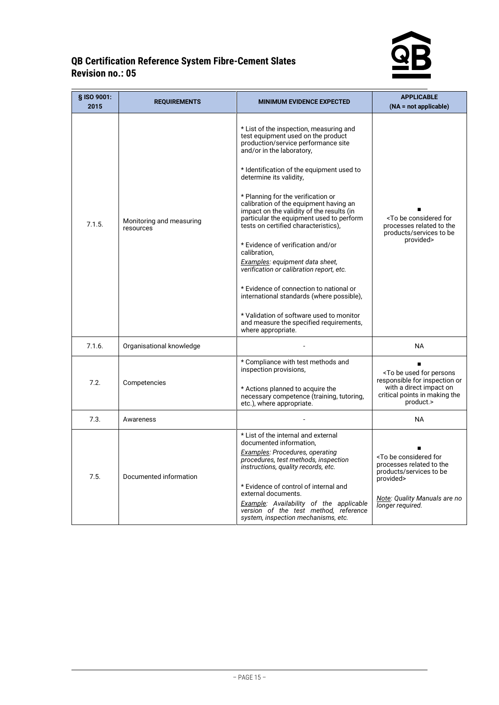

| § ISO 9001:<br>2015 | <b>REQUIREMENTS</b>                   | <b>MINIMUM EVIDENCE EXPECTED</b>                                                                                                                                                                                                                                                                                                                                                                                                                                                                                                                                                                                                                                                                                                                                                    | <b>APPLICABLE</b><br>$(NA = not applicable)$                                                                                                                       |
|---------------------|---------------------------------------|-------------------------------------------------------------------------------------------------------------------------------------------------------------------------------------------------------------------------------------------------------------------------------------------------------------------------------------------------------------------------------------------------------------------------------------------------------------------------------------------------------------------------------------------------------------------------------------------------------------------------------------------------------------------------------------------------------------------------------------------------------------------------------------|--------------------------------------------------------------------------------------------------------------------------------------------------------------------|
| 7.1.5.              | Monitoring and measuring<br>resources | * List of the inspection, measuring and<br>test equipment used on the product<br>production/service performance site<br>and/or in the laboratory,<br>* Identification of the equipment used to<br>determine its validity,<br>* Planning for the verification or<br>calibration of the equipment having an<br>impact on the validity of the results (in<br>particular the equipment used to perform<br>tests on certified characteristics),<br>* Evidence of verification and/or<br>calibration,<br>Examples: equipment data sheet,<br>verification or calibration report, etc.<br>* Evidence of connection to national or<br>international standards (where possible),<br>* Validation of software used to monitor<br>and measure the specified requirements,<br>where appropriate. | <to be="" considered="" for<br="">processes related to the<br/>products/services to be<br/>provided&gt;</to>                                                       |
| 7.1.6.              | Organisational knowledge              |                                                                                                                                                                                                                                                                                                                                                                                                                                                                                                                                                                                                                                                                                                                                                                                     | <b>NA</b>                                                                                                                                                          |
| 7.2.                | Competencies                          | * Compliance with test methods and<br>inspection provisions,<br>* Actions planned to acquire the<br>necessary competence (training, tutoring,<br>etc.), where appropriate.                                                                                                                                                                                                                                                                                                                                                                                                                                                                                                                                                                                                          | <to be="" for="" persons<br="" used="">responsible for inspection or<br/>with a direct impact on<br/>critical points in making the<br/>product.&gt;</to>           |
| 7.3.                | Awareness                             |                                                                                                                                                                                                                                                                                                                                                                                                                                                                                                                                                                                                                                                                                                                                                                                     | NA.                                                                                                                                                                |
| 7.5.                | Documented information                | * List of the internal and external<br>documented information.<br>Examples: Procedures, operating<br>procedures, test methods, inspection<br>instructions, quality records, etc.<br>* Evidence of control of internal and<br>external documents.<br>Example: Availability of the applicable<br>version of the test method, reference<br>system, inspection mechanisms, etc.                                                                                                                                                                                                                                                                                                                                                                                                         | <to be="" considered="" for<br="">processes related to the<br/>products/services to be<br/>provided&gt;<br/>Note: Quality Manuals are no<br/>longer required.</to> |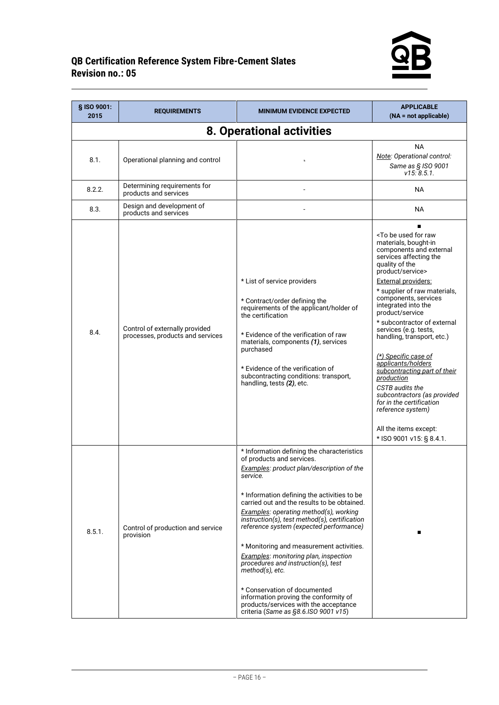

| § ISO 9001:<br>2015 | <b>REQUIREMENTS</b>                                                | <b>MINIMUM EVIDENCE EXPECTED</b>                                                                                                                                                                                                                                                                                                                                                                                                                                                                                                                                                                                                                                                     | <b>APPLICABLE</b><br>$(NA = not applicable)$                                                                                                                                                                                                                                                                                                                                                                                                                                                                                                                                                                                                        |  |  |
|---------------------|--------------------------------------------------------------------|--------------------------------------------------------------------------------------------------------------------------------------------------------------------------------------------------------------------------------------------------------------------------------------------------------------------------------------------------------------------------------------------------------------------------------------------------------------------------------------------------------------------------------------------------------------------------------------------------------------------------------------------------------------------------------------|-----------------------------------------------------------------------------------------------------------------------------------------------------------------------------------------------------------------------------------------------------------------------------------------------------------------------------------------------------------------------------------------------------------------------------------------------------------------------------------------------------------------------------------------------------------------------------------------------------------------------------------------------------|--|--|
|                     | 8. Operational activities                                          |                                                                                                                                                                                                                                                                                                                                                                                                                                                                                                                                                                                                                                                                                      |                                                                                                                                                                                                                                                                                                                                                                                                                                                                                                                                                                                                                                                     |  |  |
| 8.1.                | Operational planning and control                                   |                                                                                                                                                                                                                                                                                                                                                                                                                                                                                                                                                                                                                                                                                      | <b>NA</b><br>Note: Operational control:<br>Same as § ISO 9001<br>v15:8.5.1.                                                                                                                                                                                                                                                                                                                                                                                                                                                                                                                                                                         |  |  |
| 8.2.2.              | Determining requirements for<br>products and services              |                                                                                                                                                                                                                                                                                                                                                                                                                                                                                                                                                                                                                                                                                      | ΝA                                                                                                                                                                                                                                                                                                                                                                                                                                                                                                                                                                                                                                                  |  |  |
| 8.3.                | Design and development of<br>products and services                 |                                                                                                                                                                                                                                                                                                                                                                                                                                                                                                                                                                                                                                                                                      | NA.                                                                                                                                                                                                                                                                                                                                                                                                                                                                                                                                                                                                                                                 |  |  |
| 8.4.                | Control of externally provided<br>processes, products and services | * List of service providers<br>* Contract/order defining the<br>requirements of the applicant/holder of<br>the certification<br>* Evidence of the verification of raw<br>materials, components (1), services<br>purchased<br>* Evidence of the verification of<br>subcontracting conditions: transport,<br>handling, tests (2), etc.                                                                                                                                                                                                                                                                                                                                                 | <to be="" for="" raw<br="" used="">materials, bought-in<br/>components and external<br/>services affecting the<br/>quality of the<br/>product/service&gt;<br/>External providers:<br/>* supplier of raw materials,<br/>components, services<br/>integrated into the<br/>product/service<br/>* subcontractor of external<br/>services (e.g. tests,<br/>handling, transport, etc.)<br/>(*) Specific case of<br/>applicants/holders<br/>subcontracting part of their<br/>production<br/>CSTB audits the<br/>subcontractors (as provided<br/>for in the certification<br/>reference system)<br/>All the items except:<br/>* ISO 9001 v15: § 8.4.1.</to> |  |  |
| 8.5.1.              | Control of production and service<br>provision                     | * Information defining the characteristics<br>of products and services.<br>Examples: product plan/description of the<br>service.<br>* Information defining the activities to be<br>carried out and the results to be obtained.<br><b>Examples:</b> operating method(s), working<br>instruction(s), test method(s), certification<br>reference system (expected performance)<br>* Monitoring and measurement activities.<br>Examples: monitoring plan, inspection<br>procedures and instruction(s), test<br>method(s), etc.<br>* Conservation of documented<br>information proving the conformity of<br>products/services with the acceptance<br>criteria (Same as §8.6.ISO 9001 v15) |                                                                                                                                                                                                                                                                                                                                                                                                                                                                                                                                                                                                                                                     |  |  |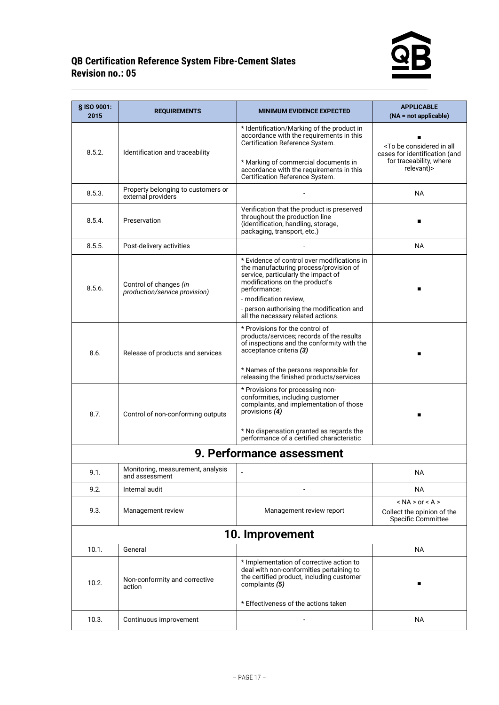

| § ISO 9001:<br>2015                       | <b>REQUIREMENTS</b>                                      | <b>MINIMUM EVIDENCE EXPECTED</b>                                                                                                                                                                                                                                                            | <b>APPLICABLE</b><br>$(NA = not applicable)$                                                           |
|-------------------------------------------|----------------------------------------------------------|---------------------------------------------------------------------------------------------------------------------------------------------------------------------------------------------------------------------------------------------------------------------------------------------|--------------------------------------------------------------------------------------------------------|
| 8.5.2.<br>Identification and traceability |                                                          | * Identification/Marking of the product in<br>accordance with the requirements in this<br>Certification Reference System.<br>* Marking of commercial documents in                                                                                                                           | <to all<br="" be="" considered="" in="">cases for identification (and<br/>for traceability, where</to> |
|                                           |                                                          | accordance with the requirements in this<br>Certification Reference System.                                                                                                                                                                                                                 | relevant)>                                                                                             |
| 8.5.3.                                    | Property belonging to customers or<br>external providers |                                                                                                                                                                                                                                                                                             | <b>NA</b>                                                                                              |
| 8.5.4.                                    | Preservation                                             | Verification that the product is preserved<br>throughout the production line<br>(identification, handling, storage,<br>packaging, transport, etc.)                                                                                                                                          |                                                                                                        |
| 8.5.5.                                    | Post-delivery activities                                 |                                                                                                                                                                                                                                                                                             | <b>NA</b>                                                                                              |
| 8.5.6.                                    | Control of changes (in<br>production/service provision)  | * Evidence of control over modifications in<br>the manufacturing process/provision of<br>service, particularly the impact of<br>modifications on the product's<br>performance:<br>- modification review,<br>- person authorising the modification and<br>all the necessary related actions. |                                                                                                        |
| 8.6.                                      | Release of products and services                         | * Provisions for the control of<br>products/services; records of the results<br>of inspections and the conformity with the<br>acceptance criteria (3)<br>* Names of the persons responsible for<br>releasing the finished products/services                                                 |                                                                                                        |
| 8.7.                                      | Control of non-conforming outputs                        | * Provisions for processing non-<br>conformities, including customer<br>complaints, and implementation of those<br>provisions (4)<br>* No dispensation granted as regards the<br>performance of a certified characteristic                                                                  |                                                                                                        |
|                                           |                                                          | 9. Performance assessment                                                                                                                                                                                                                                                                   |                                                                                                        |
| 9.1.                                      | Monitoring, measurement, analysis<br>and assessment      |                                                                                                                                                                                                                                                                                             | <b>NA</b>                                                                                              |
| 9.2.                                      | Internal audit                                           |                                                                                                                                                                                                                                                                                             | <b>NA</b>                                                                                              |
| 9.3.                                      | Management review                                        | Management review report                                                                                                                                                                                                                                                                    | $<$ NA $>$ or $<$ A $>$<br>Collect the opinion of the<br><b>Specific Committee</b>                     |
|                                           |                                                          | 10. Improvement                                                                                                                                                                                                                                                                             |                                                                                                        |
| 10.1.                                     | General                                                  |                                                                                                                                                                                                                                                                                             | <b>NA</b>                                                                                              |
| 10.2.                                     | Non-conformity and corrective<br>action                  | * Implementation of corrective action to<br>deal with non-conformities pertaining to<br>the certified product, including customer<br>complaints (5)                                                                                                                                         |                                                                                                        |
| 10.3.                                     | Continuous improvement                                   | * Effectiveness of the actions taken                                                                                                                                                                                                                                                        | NА                                                                                                     |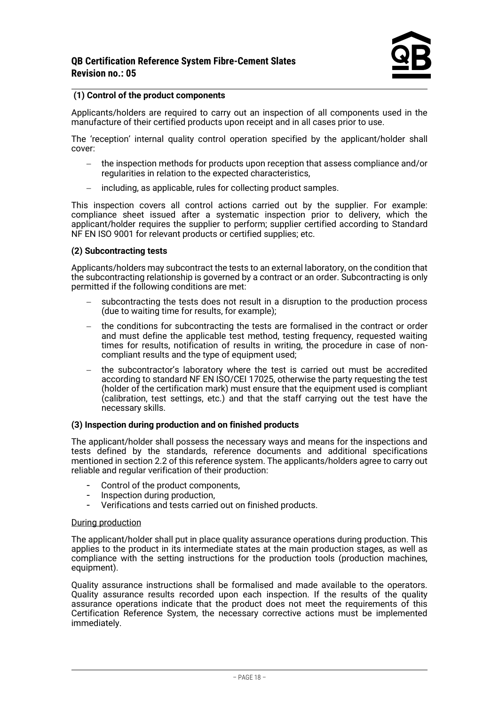#### **(1) Control of the product components**

Applicants/holders are required to carry out an inspection of all components used in the manufacture of their certified products upon receipt and in all cases prior to use.

The 'reception' internal quality control operation specified by the applicant/holder shall cover:

- − the inspection methods for products upon reception that assess compliance and/or regularities in relation to the expected characteristics,
- including, as applicable, rules for collecting product samples.

This inspection covers all control actions carried out by the supplier. For example: compliance sheet issued after a systematic inspection prior to delivery, which the applicant/holder requires the supplier to perform; supplier certified according to Standard NF EN ISO 9001 for relevant products or certified supplies; etc.

#### **(2) Subcontracting tests**

Applicants/holders may subcontract the tests to an external laboratory, on the condition that the subcontracting relationship is governed by a contract or an order. Subcontracting is only permitted if the following conditions are met:

- subcontracting the tests does not result in a disruption to the production process (due to waiting time for results, for example);
- − the conditions for subcontracting the tests are formalised in the contract or order and must define the applicable test method, testing frequency, requested waiting times for results, notification of results in writing, the procedure in case of noncompliant results and the type of equipment used;
- the subcontractor's laboratory where the test is carried out must be accredited according to standard NF EN ISO/CEI 17025, otherwise the party requesting the test (holder of the certification mark) must ensure that the equipment used is compliant (calibration, test settings, etc.) and that the staff carrying out the test have the necessary skills.

#### **(3) Inspection during production and on finished products**

The applicant/holder shall possess the necessary ways and means for the inspections and tests defined by the standards, reference documents and additional specifications mentioned in section 2.2 of this reference system. The applicants/holders agree to carry out reliable and regular verification of their production:

- Control of the product components,
- Inspection during production,
- Verifications and tests carried out on finished products.

#### During production

The applicant/holder shall put in place quality assurance operations during production. This applies to the product in its intermediate states at the main production stages, as well as compliance with the setting instructions for the production tools (production machines, equipment).

Quality assurance instructions shall be formalised and made available to the operators. Quality assurance results recorded upon each inspection. If the results of the quality assurance operations indicate that the product does not meet the requirements of this Certification Reference System, the necessary corrective actions must be implemented immediately.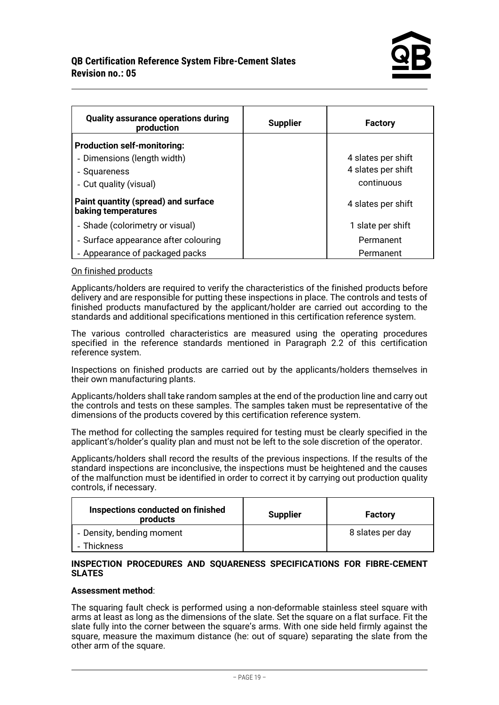| <b>Quality assurance operations during</b><br>production   | <b>Supplier</b> | <b>Factory</b>     |
|------------------------------------------------------------|-----------------|--------------------|
| <b>Production self-monitoring:</b>                         |                 |                    |
| - Dimensions (length width)                                |                 | 4 slates per shift |
| - Squareness                                               |                 | 4 slates per shift |
| - Cut quality (visual)                                     |                 | continuous         |
| Paint quantity (spread) and surface<br>baking temperatures |                 | 4 slates per shift |
| - Shade (colorimetry or visual)                            |                 | 1 slate per shift  |
| - Surface appearance after colouring                       |                 | Permanent          |
| - Appearance of packaged packs                             |                 | Permanent          |

#### On finished products

Applicants/holders are required to verify the characteristics of the finished products before delivery and are responsible for putting these inspections in place. The controls and tests of finished products manufactured by the applicant/holder are carried out according to the standards and additional specifications mentioned in this certification reference system.

The various controlled characteristics are measured using the operating procedures specified in the reference standards mentioned in Paragraph 2.2 of this certification reference system.

Inspections on finished products are carried out by the applicants/holders themselves in their own manufacturing plants.

Applicants/holders shall take random samples at the end of the production line and carry out the controls and tests on these samples. The samples taken must be representative of the dimensions of the products covered by this certification reference system.

The method for collecting the samples required for testing must be clearly specified in the applicant's/holder's quality plan and must not be left to the sole discretion of the operator.

Applicants/holders shall record the results of the previous inspections. If the results of the standard inspections are inconclusive, the inspections must be heightened and the causes of the malfunction must be identified in order to correct it by carrying out production quality controls, if necessary.

| Inspections conducted on finished<br>products | <b>Supplier</b> | <b>Factory</b>   |
|-----------------------------------------------|-----------------|------------------|
| - Density, bending moment<br><b>Thickness</b> |                 | 8 slates per day |

#### **INSPECTION PROCEDURES AND SQUARENESS SPECIFICATIONS FOR FIBRE-CEMENT SLATES**

#### **Assessment method**:

The squaring fault check is performed using a non-deformable stainless steel square with arms at least as long as the dimensions of the slate. Set the square on a flat surface. Fit the slate fully into the corner between the square's arms. With one side held firmly against the square, measure the maximum distance (he: out of square) separating the slate from the other arm of the square.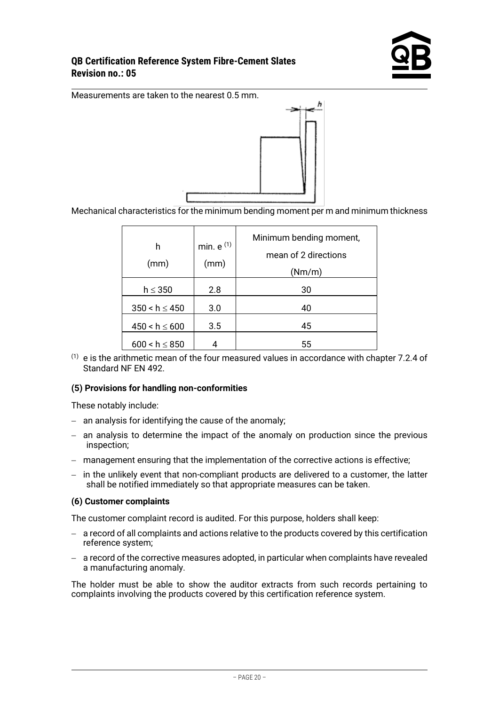

Measurements are taken to the nearest 0.5 mm.



Mechanical characteristics for the minimum bending moment per m and minimum thickness

| h<br>(mm)          | min. $e^{(1)}$<br>(mm) | Minimum bending moment,<br>mean of 2 directions<br>(Nm/m) |
|--------------------|------------------------|-----------------------------------------------------------|
| $h \leq 350$       | 2.8                    | 30                                                        |
| $350 < h \le 450$  | 3.0                    | 40                                                        |
| $450 < h \le 600$  | 3.5                    | 45                                                        |
| $600 < h \leq 850$ |                        | 55                                                        |

 $(1)$  e is the arithmetic mean of the four measured values in accordance with chapter 7.2.4 of Standard NF EN 492.

#### **(5) Provisions for handling non-conformities**

These notably include:

- − an analysis for identifying the cause of the anomaly;
- − an analysis to determine the impact of the anomaly on production since the previous inspection;
- − management ensuring that the implementation of the corrective actions is effective;
- − in the unlikely event that non-compliant products are delivered to a customer, the latter shall be notified immediately so that appropriate measures can be taken.

#### **(6) Customer complaints**

The customer complaint record is audited. For this purpose, holders shall keep:

- − a record of all complaints and actions relative to the products covered by this certification reference system;
- − a record of the corrective measures adopted, in particular when complaints have revealed a manufacturing anomaly.

The holder must be able to show the auditor extracts from such records pertaining to complaints involving the products covered by this certification reference system.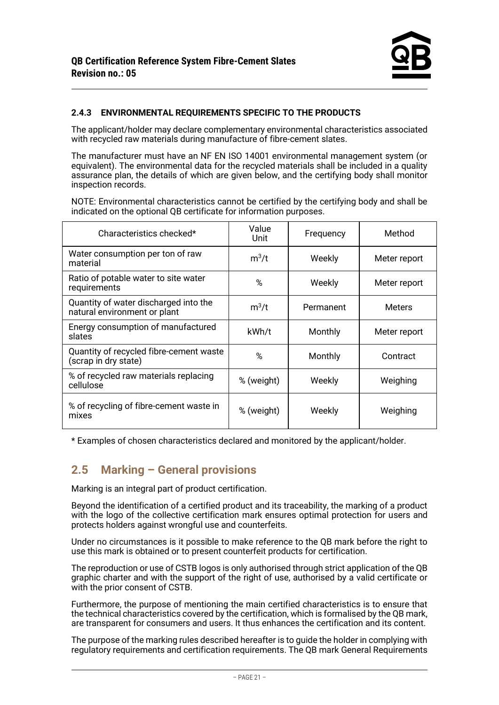#### **2.4.3 ENVIRONMENTAL REQUIREMENTS SPECIFIC TO THE PRODUCTS**

The applicant/holder may declare complementary environmental characteristics associated with recycled raw materials during manufacture of fibre-cement slates.

The manufacturer must have an NF EN ISO 14001 environmental management system (or equivalent). The environmental data for the recycled materials shall be included in a quality assurance plan, the details of which are given below, and the certifying body shall monitor inspection records.

NOTE: Environmental characteristics cannot be certified by the certifying body and shall be indicated on the optional QB certificate for information purposes.

| Characteristics checked*                                              | Value<br>Unit | Frequency | Method        |
|-----------------------------------------------------------------------|---------------|-----------|---------------|
| Water consumption per ton of raw<br>material                          | $m^3/t$       | Weekly    | Meter report  |
| Ratio of potable water to site water<br>requirements                  | %             | Weekly    | Meter report  |
| Quantity of water discharged into the<br>natural environment or plant | $m^3/t$       | Permanent | <b>Meters</b> |
| Energy consumption of manufactured<br>slates                          | kWh/t         | Monthly   | Meter report  |
| Quantity of recycled fibre-cement waste<br>(scrap in dry state)       | $\%$          | Monthly   | Contract      |
| % of recycled raw materials replacing<br>cellulose                    | % (weight)    | Weekly    | Weighing      |
| % of recycling of fibre-cement waste in<br>mixes                      | % (weight)    | Weekly    | Weighing      |

<span id="page-20-0"></span>\* Examples of chosen characteristics declared and monitored by the applicant/holder.

# **2.5 Marking – General provisions**

Marking is an integral part of product certification.

Beyond the identification of a certified product and its traceability, the marking of a product with the logo of the collective certification mark ensures optimal protection for users and protects holders against wrongful use and counterfeits.

Under no circumstances is it possible to make reference to the QB mark before the right to use this mark is obtained or to present counterfeit products for certification.

The reproduction or use of CSTB logos is only authorised through strict application of the QB graphic charter and with the support of the right of use, authorised by a valid certificate or with the prior consent of CSTB.

Furthermore, the purpose of mentioning the main certified characteristics is to ensure that the technical characteristics covered by the certification, which is formalised by the QB mark, are transparent for consumers and users. It thus enhances the certification and its content.

The purpose of the marking rules described hereafter is to guide the holder in complying with regulatory requirements and certification requirements. The QB mark General Requirements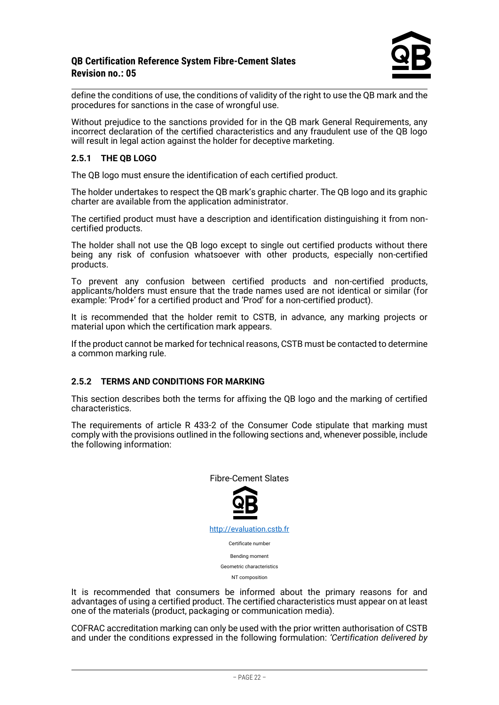

define the conditions of use, the conditions of validity of the right to use the QB mark and the procedures for sanctions in the case of wrongful use.

Without prejudice to the sanctions provided for in the QB mark General Requirements, any incorrect declaration of the certified characteristics and any fraudulent use of the QB logo will result in legal action against the holder for deceptive marketing.

#### **2.5.1 THE QB LOGO**

The QB logo must ensure the identification of each certified product.

The holder undertakes to respect the QB mark's graphic charter. The QB logo and its graphic charter are available from the application administrator.

The certified product must have a description and identification distinguishing it from noncertified products.

The holder shall not use the QB logo except to single out certified products without there being any risk of confusion whatsoever with other products, especially non-certified products.

To prevent any confusion between certified products and non-certified products, applicants/holders must ensure that the trade names used are not identical or similar (for example: 'Prod+' for a certified product and 'Prod' for a non-certified product).

It is recommended that the holder remit to CSTB, in advance, any marking projects or material upon which the certification mark appears.

If the product cannot be marked for technical reasons, CSTB must be contacted to determine a common marking rule.

#### **2.5.2 TERMS AND CONDITIONS FOR MARKING**

This section describes both the terms for affixing the QB logo and the marking of certified characteristics.

The requirements of article R 433-2 of the Consumer Code stipulate that marking must comply with the provisions outlined in the following sections and, whenever possible, include the following information:



It is recommended that consumers be informed about the primary reasons for and advantages of using a certified product. The certified characteristics must appear on at least one of the materials (product, packaging or communication media).

COFRAC accreditation marking can only be used with the prior written authorisation of CSTB and under the conditions expressed in the following formulation: *'Certification delivered by*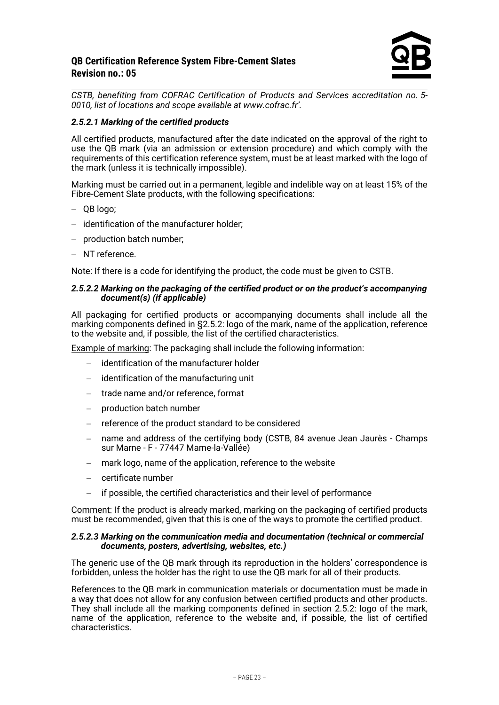

*CSTB, benefiting from COFRAC Certification of Products and Services accreditation no. 5- 0010, list of locations and scope available at www.cofrac.fr'.* 

#### *2.5.2.1 Marking of the certified products*

All certified products, manufactured after the date indicated on the approval of the right to use the QB mark (via an admission or extension procedure) and which comply with the requirements of this certification reference system, must be at least marked with the logo of the mark (unless it is technically impossible).

Marking must be carried out in a permanent, legible and indelible way on at least 15% of the Fibre-Cement Slate products, with the following specifications:

- − QB logo;
- − identification of the manufacturer holder;
- − production batch number;
- − NT reference.

Note: If there is a code for identifying the product, the code must be given to CSTB.

#### *2.5.2.2 Marking on the packaging of the certified product or on the product's accompanying document(s) (if applicable)*

All packaging for certified products or accompanying documents shall include all the marking components defined in §2.5.2: logo of the mark, name of the application, reference to the website and, if possible, the list of the certified characteristics.

Example of marking: The packaging shall include the following information:

- − identification of the manufacturer holder
- − identification of the manufacturing unit
- trade name and/or reference, format
- − production batch number
- reference of the product standard to be considered
- − name and address of the certifying body (CSTB, 84 avenue Jean Jaurès Champs sur Marne - F - 77447 Marne-la-Vallée)
- mark logo, name of the application, reference to the website
- − certificate number
- if possible, the certified characteristics and their level of performance

Comment: If the product is already marked, marking on the packaging of certified products must be recommended, given that this is one of the ways to promote the certified product.

#### *2.5.2.3 Marking on the communication media and documentation (technical or commercial documents, posters, advertising, websites, etc.)*

The generic use of the QB mark through its reproduction in the holders' correspondence is forbidden, unless the holder has the right to use the QB mark for all of their products.

References to the QB mark in communication materials or documentation must be made in a way that does not allow for any confusion between certified products and other products. They shall include all the marking components defined in section 2.5.2: logo of the mark, name of the application, reference to the website and, if possible, the list of certified characteristics.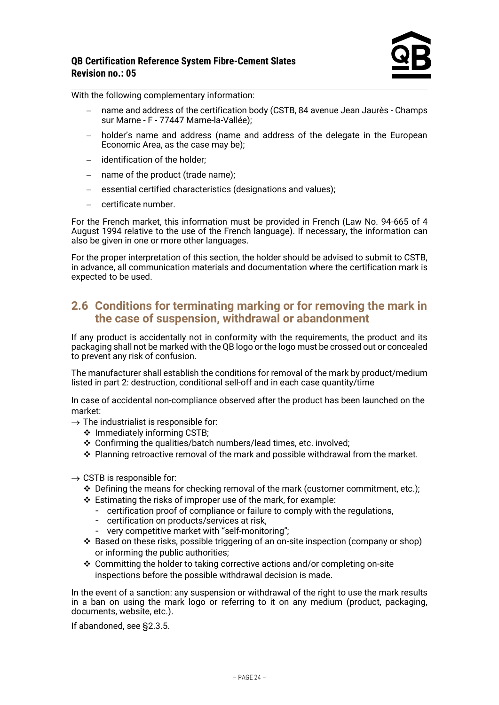

With the following complementary information:

- name and address of the certification body (CSTB, 84 avenue Jean Jaurès Champs sur Marne - F - 77447 Marne-la-Vallée);
- holder's name and address (name and address of the delegate in the European Economic Area, as the case may be);
- − identification of the holder;
- − name of the product (trade name);
- − essential certified characteristics (designations and values);
- − certificate number.

For the French market, this information must be provided in French (Law No. 94-665 of 4 August 1994 relative to the use of the French language). If necessary, the information can also be given in one or more other languages.

For the proper interpretation of this section, the holder should be advised to submit to CSTB, in advance, all communication materials and documentation where the certification mark is expected to be used.

## <span id="page-23-0"></span>**2.6 Conditions for terminating marking or for removing the mark in the case of suspension, withdrawal or abandonment**

If any product is accidentally not in conformity with the requirements, the product and its packaging shall not be marked with the QB logo or the logo must be crossed out or concealed to prevent any risk of confusion.

The manufacturer shall establish the conditions for removal of the mark by product/medium listed in part 2: destruction, conditional sell-off and in each case quantity/time

In case of accidental non-compliance observed after the product has been launched on the market:

- $\rightarrow$  The industrialist is responsible for:
	- ❖ Immediately informing CSTB;
	- ❖ Confirming the qualities/batch numbers/lead times, etc. involved;
	- ❖ Planning retroactive removal of the mark and possible withdrawal from the market.
- $\rightarrow$  CSTB is responsible for:
	- ❖ Defining the means for checking removal of the mark (customer commitment, etc.);
	- ❖ Estimating the risks of improper use of the mark, for example:
		- certification proof of compliance or failure to comply with the regulations,
		- certification on products/services at risk,
		- very competitive market with "self-monitoring";
	- ❖ Based on these risks, possible triggering of an on-site inspection (company or shop) or informing the public authorities;
	- ❖ Committing the holder to taking corrective actions and/or completing on-site inspections before the possible withdrawal decision is made.

In the event of a sanction: any suspension or withdrawal of the right to use the mark results in a ban on using the mark logo or referring to it on any medium (product, packaging, documents, website, etc.).

If abandoned, see §2.3.5.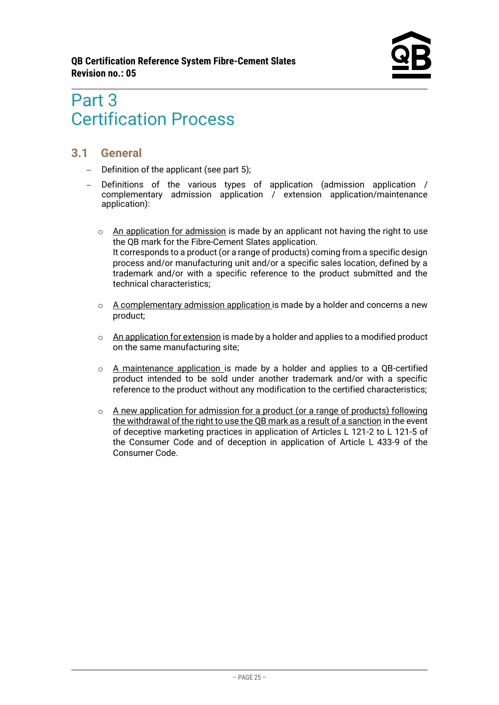# <span id="page-24-0"></span>Part 3 Certification Process

# <span id="page-24-1"></span>**3.1 General**

- − Definition of the applicant (see part 5);
- − Definitions of the various types of application (admission application / complementary admission application / extension application/maintenance application):
	- $\circ$  An application for admission is made by an applicant not having the right to use the QB mark for the Fibre-Cement Slates application. It corresponds to a product (or a range of products) coming from a specific design process and/or manufacturing unit and/or a specific sales location, defined by a trademark and/or with a specific reference to the product submitted and the technical characteristics;
	- $\circ$  A complementary admission application is made by a holder and concerns a new product;
	- $\circ$  An application for extension is made by a holder and applies to a modified product on the same manufacturing site;
	- $\circ$  A maintenance application is made by a holder and applies to a QB-certified product intended to be sold under another trademark and/or with a specific reference to the product without any modification to the certified characteristics;
	- $\circ$  A new application for admission for a product (or a range of products) following the withdrawal of the right to use the QB mark as a result of a sanction in the event of deceptive marketing practices in application of Articles L 121-2 to L 121-5 of the Consumer Code and of deception in application of Article L 433-9 of the Consumer Code.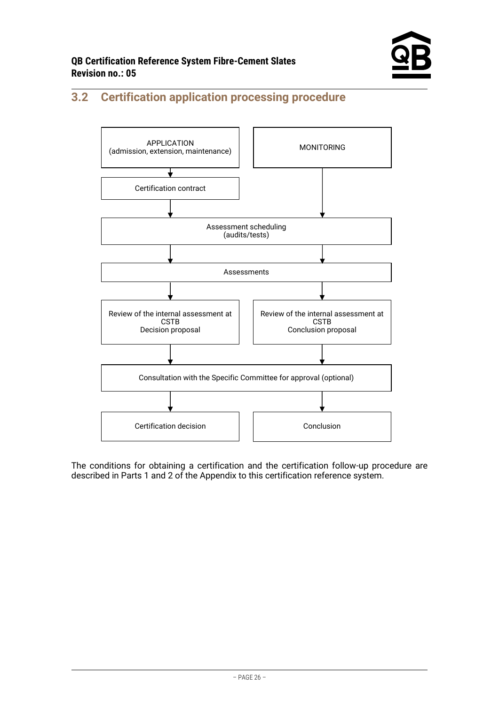

# <span id="page-25-0"></span>**3.2 Certification application processing procedure**



The conditions for obtaining a certification and the certification follow-up procedure are described in Parts 1 and 2 of the Appendix to this certification reference system.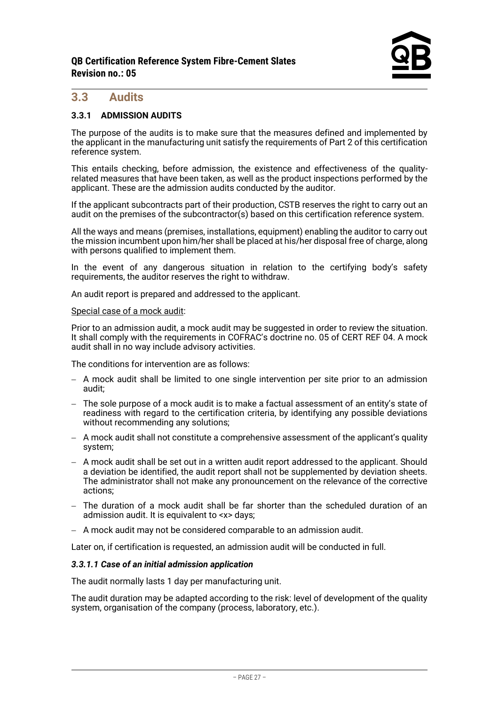### <span id="page-26-0"></span>**3.3 Audits**

#### **3.3.1 ADMISSION AUDITS**

The purpose of the audits is to make sure that the measures defined and implemented by the applicant in the manufacturing unit satisfy the requirements of Part 2 of this certification reference system.

This entails checking, before admission, the existence and effectiveness of the qualityrelated measures that have been taken, as well as the product inspections performed by the applicant. These are the admission audits conducted by the auditor.

If the applicant subcontracts part of their production, CSTB reserves the right to carry out an audit on the premises of the subcontractor(s) based on this certification reference system.

All the ways and means (premises, installations, equipment) enabling the auditor to carry out the mission incumbent upon him/her shall be placed at his/her disposal free of charge, along with persons qualified to implement them.

In the event of any dangerous situation in relation to the certifying body's safety requirements, the auditor reserves the right to withdraw.

An audit report is prepared and addressed to the applicant.

#### Special case of a mock audit:

Prior to an admission audit, a mock audit may be suggested in order to review the situation. It shall comply with the requirements in COFRAC's doctrine no. 05 of CERT REF 04. A mock audit shall in no way include advisory activities.

The conditions for intervention are as follows:

- − A mock audit shall be limited to one single intervention per site prior to an admission audit;
- − The sole purpose of a mock audit is to make a factual assessment of an entity's state of readiness with regard to the certification criteria, by identifying any possible deviations without recommending any solutions;
- − A mock audit shall not constitute a comprehensive assessment of the applicant's quality system;
- − A mock audit shall be set out in a written audit report addressed to the applicant. Should a deviation be identified, the audit report shall not be supplemented by deviation sheets. The administrator shall not make any pronouncement on the relevance of the corrective actions;
- − The duration of a mock audit shall be far shorter than the scheduled duration of an admission audit. It is equivalent to <x> days;
- − A mock audit may not be considered comparable to an admission audit.

Later on, if certification is requested, an admission audit will be conducted in full.

#### *3.3.1.1 Case of an initial admission application*

The audit normally lasts 1 day per manufacturing unit.

The audit duration may be adapted according to the risk: level of development of the quality system, organisation of the company (process, laboratory, etc.).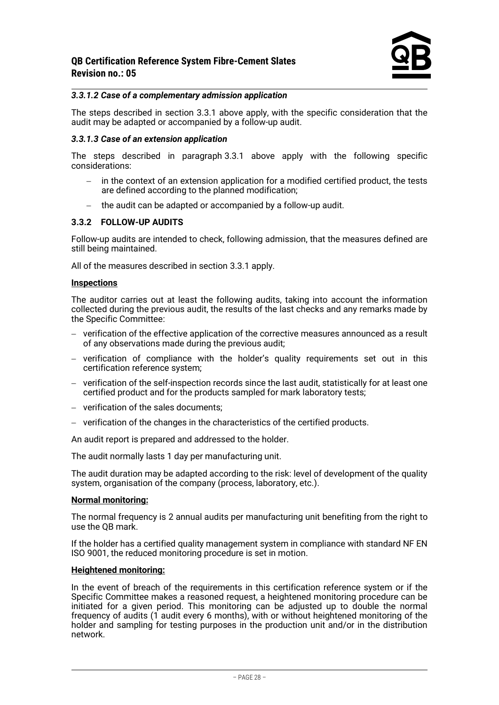#### *3.3.1.2 Case of a complementary admission application*

The steps described in section 3.3.1 above apply, with the specific consideration that the audit may be adapted or accompanied by a follow-up audit.

#### *3.3.1.3 Case of an extension application*

The steps described in paragraph 3.3.1 above apply with the following specific considerations:

- − in the context of an extension application for a modified certified product, the tests are defined according to the planned modification;
- − the audit can be adapted or accompanied by a follow-up audit.

#### **3.3.2 FOLLOW-UP AUDITS**

Follow-up audits are intended to check, following admission, that the measures defined are still being maintained.

All of the measures described in section 3.3.1 apply.

#### **Inspections**

The auditor carries out at least the following audits, taking into account the information collected during the previous audit, the results of the last checks and any remarks made by the Specific Committee:

- − verification of the effective application of the corrective measures announced as a result of any observations made during the previous audit;
- − verification of compliance with the holder's quality requirements set out in this certification reference system;
- − verification of the self-inspection records since the last audit, statistically for at least one certified product and for the products sampled for mark laboratory tests;
- − verification of the sales documents;
- − verification of the changes in the characteristics of the certified products.

An audit report is prepared and addressed to the holder.

The audit normally lasts 1 day per manufacturing unit.

The audit duration may be adapted according to the risk: level of development of the quality system, organisation of the company (process, laboratory, etc.).

#### **Normal monitoring:**

The normal frequency is 2 annual audits per manufacturing unit benefiting from the right to use the QB mark.

If the holder has a certified quality management system in compliance with standard NF EN ISO 9001, the reduced monitoring procedure is set in motion.

#### **Heightened monitoring:**

In the event of breach of the requirements in this certification reference system or if the Specific Committee makes a reasoned request, a heightened monitoring procedure can be initiated for a given period. This monitoring can be adjusted up to double the normal frequency of audits (1 audit every 6 months), with or without heightened monitoring of the holder and sampling for testing purposes in the production unit and/or in the distribution network.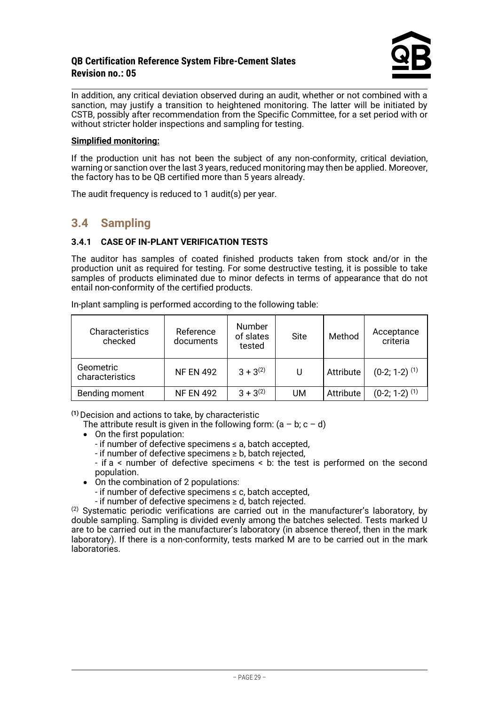

In addition, any critical deviation observed during an audit, whether or not combined with a sanction, may justify a transition to heightened monitoring. The latter will be initiated by CSTB, possibly after recommendation from the Specific Committee, for a set period with or without stricter holder inspections and sampling for testing.

#### **Simplified monitoring:**

If the production unit has not been the subject of any non-conformity, critical deviation, warning or sanction over the last 3 years, reduced monitoring may then be applied. Moreover, the factory has to be QB certified more than 5 years already.

<span id="page-28-0"></span>The audit frequency is reduced to 1 audit(s) per year.

# **3.4 Sampling**

#### **3.4.1 CASE OF IN-PLANT VERIFICATION TESTS**

The auditor has samples of coated finished products taken from stock and/or in the production unit as required for testing. For some destructive testing, it is possible to take samples of products eliminated due to minor defects in terms of appearance that do not entail non-conformity of the certified products.

**Characteristics** checked Reference documents Number of slates tested Site Method Acceptance criteria Geometric<br>characteristics characteristics NF EN 492  $3 + 3^{(2)}$  U  $\left[\right]$  Attribute  $(0-2; 1-2)^{(1)}$ 

Bending moment  $\begin{array}{|c|c|c|c|c|c|} \hline \end{array}$  NF EN 492  $\begin{array}{|c|c|c|c|c|} \hline \end{array}$  3 + 3<sup>(2)</sup> UM  $\begin{array}{|c|c|c|c|c|} \hline \end{array}$  Attribute  $\begin{array}{|c|c|c|c|c|} \hline \end{array}$  (0-2; 1-2) <sup>(1)</sup>

In-plant sampling is performed according to the following table:

**(1)**Decision and actions to take, by characteristic

The attribute result is given in the following form:  $(a - b, c - d)$ 

- On the first population:
	- if number of defective specimens ≤ a, batch accepted,
	- if number of defective specimens ≥ b, batch rejected,
	- if a < number of defective specimens < b: the test is performed on the second population.
- On the combination of 2 populations:
	- if number of defective specimens ≤ c, batch accepted,
	- if number of defective specimens ≥ d, batch rejected.

 $(2)$  Systematic periodic verifications are carried out in the manufacturer's laboratory, by double sampling. Sampling is divided evenly among the batches selected. Tests marked U are to be carried out in the manufacturer's laboratory (in absence thereof, then in the mark laboratory). If there is a non-conformity, tests marked M are to be carried out in the mark laboratories.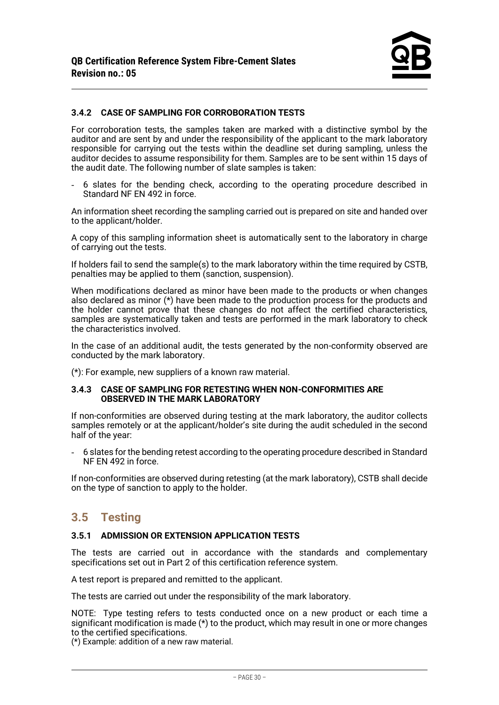#### **3.4.2 CASE OF SAMPLING FOR CORROBORATION TESTS**

For corroboration tests, the samples taken are marked with a distinctive symbol by the auditor and are sent by and under the responsibility of the applicant to the mark laboratory responsible for carrying out the tests within the deadline set during sampling, unless the auditor decides to assume responsibility for them. Samples are to be sent within 15 days of the audit date. The following number of slate samples is taken:

- 6 slates for the bending check, according to the operating procedure described in Standard NF EN 492 in force.

An information sheet recording the sampling carried out is prepared on site and handed over to the applicant/holder.

A copy of this sampling information sheet is automatically sent to the laboratory in charge of carrying out the tests.

If holders fail to send the sample(s) to the mark laboratory within the time required by CSTB, penalties may be applied to them (sanction, suspension).

When modifications declared as minor have been made to the products or when changes also declared as minor (\*) have been made to the production process for the products and the holder cannot prove that these changes do not affect the certified characteristics, samples are systematically taken and tests are performed in the mark laboratory to check the characteristics involved.

In the case of an additional audit, the tests generated by the non-conformity observed are conducted by the mark laboratory.

(\*): For example, new suppliers of a known raw material.

#### **3.4.3 CASE OF SAMPLING FOR RETESTING WHEN NON-CONFORMITIES ARE OBSERVED IN THE MARK LABORATORY**

If non-conformities are observed during testing at the mark laboratory, the auditor collects samples remotely or at the applicant/holder's site during the audit scheduled in the second half of the year:

- 6 slates for the bending retest according to the operating procedure described in Standard NF EN 492 in force.

If non-conformities are observed during retesting (at the mark laboratory), CSTB shall decide on the type of sanction to apply to the holder.

### <span id="page-29-0"></span>**3.5 Testing**

#### **3.5.1 ADMISSION OR EXTENSION APPLICATION TESTS**

The tests are carried out in accordance with the standards and complementary specifications set out in Part 2 of this certification reference system.

A test report is prepared and remitted to the applicant.

The tests are carried out under the responsibility of the mark laboratory.

NOTE: Type testing refers to tests conducted once on a new product or each time a significant modification is made (\*) to the product, which may result in one or more changes to the certified specifications.

(\*) Example: addition of a new raw material.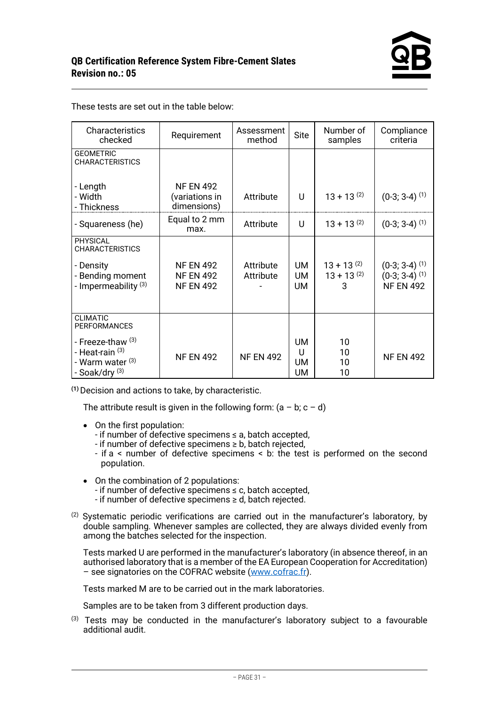| Characteristics<br>checked                                                                       | Requirement                                              | Assessment<br>method   | <b>Site</b>                       | Number of<br>samples                    | Compliance<br>criteria                                                         |
|--------------------------------------------------------------------------------------------------|----------------------------------------------------------|------------------------|-----------------------------------|-----------------------------------------|--------------------------------------------------------------------------------|
| <b>GEOMETRIC</b><br><b>CHARACTERISTICS</b>                                                       |                                                          |                        |                                   |                                         |                                                                                |
| - Length<br>- Width<br>- Thickness                                                               | <b>NF EN 492</b><br>(variations in<br>dimensions)        | Attribute              | U                                 | $13 + 13^{(2)}$                         | $(0-3; 3-4)$ <sup>(1)</sup>                                                    |
| - Squareness (he)                                                                                | Equal to 2 mm<br>max.                                    | Attribute              | U                                 | $13 + 13^{(2)}$                         | $(0-3; 3-4)$ <sup>(1)</sup>                                                    |
| <b>PHYSICAL</b><br><b>CHARACTERISTICS</b>                                                        |                                                          |                        |                                   |                                         |                                                                                |
| - Density<br>- Bending moment<br>- Impermeability <sup>(3)</sup>                                 | <b>NF EN 492</b><br><b>NF EN 492</b><br><b>NF EN 492</b> | Attribute<br>Attribute | <b>UM</b><br><b>UM</b><br>UM      | $13 + 13^{(2)}$<br>$13 + 13^{(2)}$<br>3 | $(0-3; 3-4)$ <sup>(1)</sup><br>$(0-3; 3-4)$ <sup>(1)</sup><br><b>NF EN 492</b> |
| <b>CLIMATIC</b><br><b>PERFORMANCES</b>                                                           |                                                          |                        |                                   |                                         |                                                                                |
| - Freeze-thaw <sup>(3)</sup><br>- Heat-rain (3)<br>- Warm water (3)<br>- Soak/dry <sup>(3)</sup> | <b>NF EN 492</b>                                         | <b>NF EN 492</b>       | UM<br>U<br><b>UM</b><br><b>UM</b> | 10<br>10<br>10<br>10                    | <b>NF EN 492</b>                                                               |

These tests are set out in the table below:

**(1)**Decision and actions to take, by characteristic.

The attribute result is given in the following form:  $(a - b, c - d)$ 

- On the first population:
	- if number of defective specimens ≤ a, batch accepted,
	- if number of defective specimens ≥ b, batch rejected,
	- if a < number of defective specimens < b: the test is performed on the second population.
- On the combination of 2 populations:
	- if number of defective specimens ≤ c, batch accepted,
	- if number of defective specimens ≥ d, batch rejected.
- $(2)$  Systematic periodic verifications are carried out in the manufacturer's laboratory, by double sampling. Whenever samples are collected, they are always divided evenly from among the batches selected for the inspection.

Tests marked U are performed in the manufacturer's laboratory (in absence thereof, in an authorised laboratory that is a member of the EA European Cooperation for Accreditation) – see signatories on the COFRAC website [\(www.cofrac.fr\)](http://www.cofrac.fr/).

Tests marked M are to be carried out in the mark laboratories.

Samples are to be taken from 3 different production days.

(3) Tests may be conducted in the manufacturer's laboratory subject to a favourable additional audit.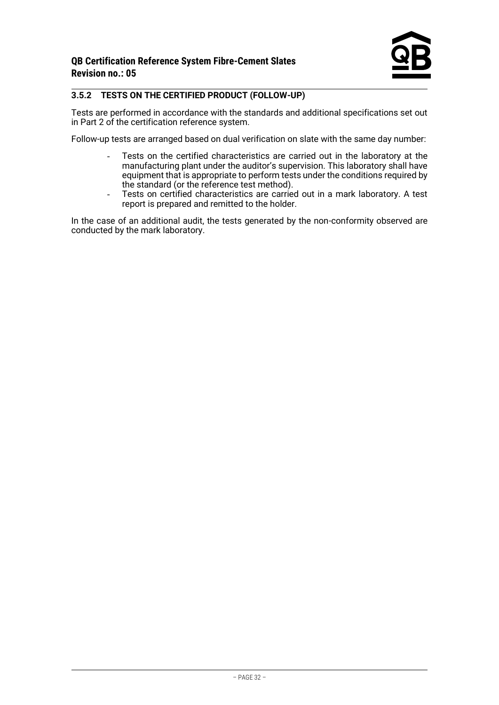#### **3.5.2 TESTS ON THE CERTIFIED PRODUCT (FOLLOW-UP)**

Tests are performed in accordance with the standards and additional specifications set out in Part 2 of the certification reference system.

Follow-up tests are arranged based on dual verification on slate with the same day number:

- Tests on the certified characteristics are carried out in the laboratory at the manufacturing plant under the auditor's supervision. This laboratory shall have equipment that is appropriate to perform tests under the conditions required by the standard (or the reference test method).
- Tests on certified characteristics are carried out in a mark laboratory. A test report is prepared and remitted to the holder.

In the case of an additional audit, the tests generated by the non-conformity observed are conducted by the mark laboratory.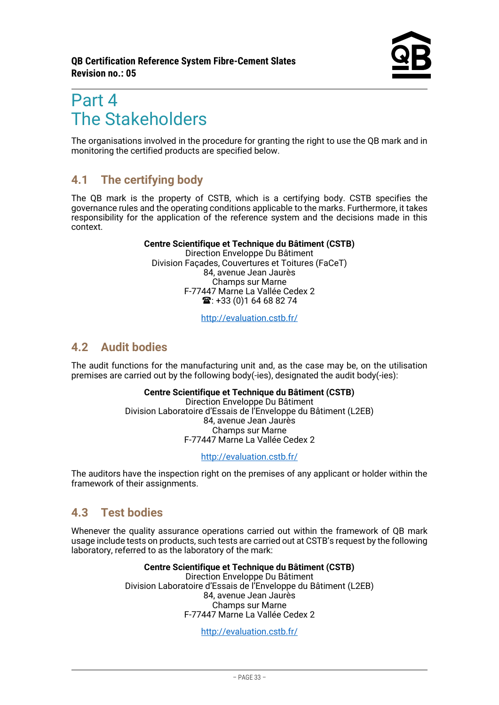# <span id="page-32-0"></span>Part 4 The Stakeholders

The organisations involved in the procedure for granting the right to use the QB mark and in monitoring the certified products are specified below.

# <span id="page-32-1"></span>**4.1 The certifying body**

The QB mark is the property of CSTB, which is a certifying body. CSTB specifies the governance rules and the operating conditions applicable to the marks. Furthermore, it takes responsibility for the application of the reference system and the decisions made in this context.

#### **Centre Scientifique et Technique du Bâtiment (CSTB)**

Direction Enveloppe Du Bâtiment Division Façades, Couvertures et Toitures (FaCeT) 84, avenue Jean Jaurès Champs sur Marne F-77447 Marne La Vallée Cedex 2  $\mathbf{R}$ : +33 (0)1 64 68 82 74

<http://evaluation.cstb.fr/>

# <span id="page-32-2"></span>**4.2 Audit bodies**

The audit functions for the manufacturing unit and, as the case may be, on the utilisation premises are carried out by the following body(-ies), designated the audit body(-ies):

#### **Centre Scientifique et Technique du Bâtiment (CSTB)** Direction Enveloppe Du Bâtiment

Division Laboratoire d'Essais de l'Enveloppe du Bâtiment (L2EB) 84, avenue Jean Jaurès Champs sur Marne F-77447 Marne La Vallée Cedex 2

<http://evaluation.cstb.fr/>

The auditors have the inspection right on the premises of any applicant or holder within the framework of their assignments.

# <span id="page-32-3"></span>**4.3 Test bodies**

Whenever the quality assurance operations carried out within the framework of QB mark usage include tests on products, such tests are carried out at CSTB's request by the following laboratory, referred to as the laboratory of the mark:

> **Centre Scientifique et Technique du Bâtiment (CSTB)** Direction Enveloppe Du Bâtiment Division Laboratoire d'Essais de l'Enveloppe du Bâtiment (L2EB) 84, avenue Jean Jaurès Champs sur Marne F-77447 Marne La Vallée Cedex 2

> > <http://evaluation.cstb.fr/>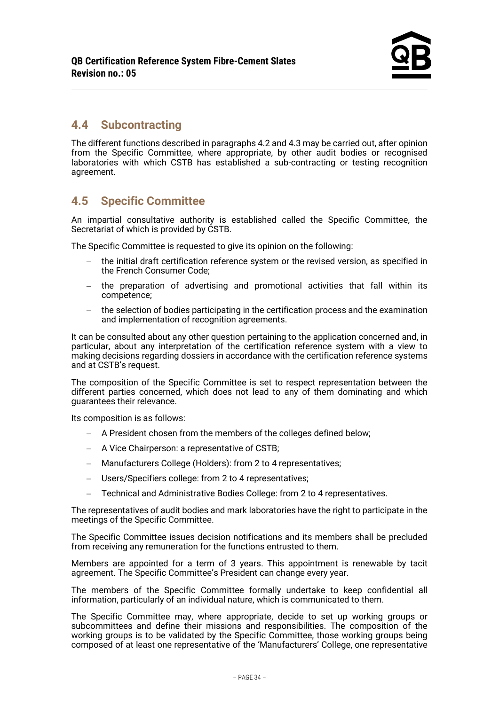# <span id="page-33-0"></span>**4.4 Subcontracting**

The different functions described in paragraphs 4.2 and 4.3 may be carried out, after opinion from the Specific Committee, where appropriate, by other audit bodies or recognised laboratories with which CSTB has established a sub-contracting or testing recognition agreement.

# <span id="page-33-1"></span>**4.5 Specific Committee**

An impartial consultative authority is established called the Specific Committee, the Secretariat of which is provided by CSTB.

The Specific Committee is requested to give its opinion on the following:

- the initial draft certification reference system or the revised version, as specified in the French Consumer Code;
- − the preparation of advertising and promotional activities that fall within its competence;
- − the selection of bodies participating in the certification process and the examination and implementation of recognition agreements.

It can be consulted about any other question pertaining to the application concerned and, in particular, about any interpretation of the certification reference system with a view to making decisions regarding dossiers in accordance with the certification reference systems and at CSTB's request.

The composition of the Specific Committee is set to respect representation between the different parties concerned, which does not lead to any of them dominating and which guarantees their relevance.

Its composition is as follows:

- − A President chosen from the members of the colleges defined below;
- − A Vice Chairperson: a representative of CSTB;
- − Manufacturers College (Holders): from 2 to 4 representatives;
- − Users/Specifiers college: from 2 to 4 representatives;
- − Technical and Administrative Bodies College: from 2 to 4 representatives.

The representatives of audit bodies and mark laboratories have the right to participate in the meetings of the Specific Committee.

The Specific Committee issues decision notifications and its members shall be precluded from receiving any remuneration for the functions entrusted to them.

Members are appointed for a term of 3 years. This appointment is renewable by tacit agreement. The Specific Committee's President can change every year.

The members of the Specific Committee formally undertake to keep confidential all information, particularly of an individual nature, which is communicated to them.

The Specific Committee may, where appropriate, decide to set up working groups or subcommittees and define their missions and responsibilities. The composition of the working groups is to be validated by the Specific Committee, those working groups being composed of at least one representative of the 'Manufacturers' College, one representative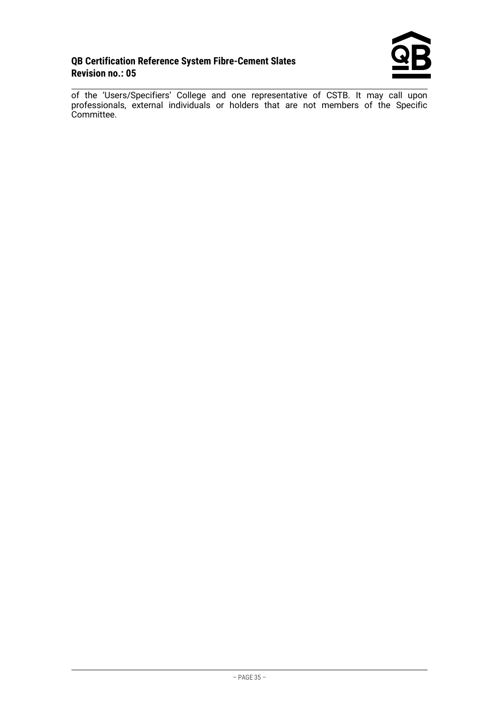

of the 'Users/Specifiers' College and one representative of CSTB. It may call upon professionals, external individuals or holders that are not members of the Specific Committee.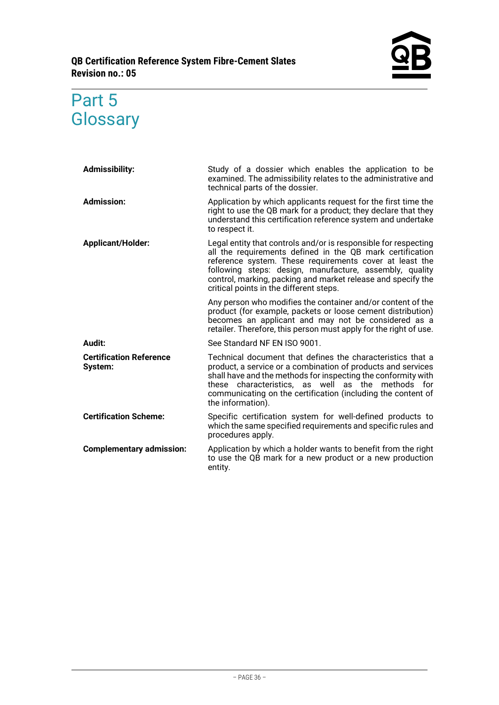

# <span id="page-35-0"></span>Part 5 **Glossary**

| <b>Admissibility:</b>                     | Study of a dossier which enables the application to be<br>examined. The admissibility relates to the administrative and<br>technical parts of the dossier.                                                                                                                                                                                                    |
|-------------------------------------------|---------------------------------------------------------------------------------------------------------------------------------------------------------------------------------------------------------------------------------------------------------------------------------------------------------------------------------------------------------------|
| <b>Admission:</b>                         | Application by which applicants request for the first time the<br>right to use the QB mark for a product; they declare that they<br>understand this certification reference system and undertake<br>to respect it.                                                                                                                                            |
| <b>Applicant/Holder:</b>                  | Legal entity that controls and/or is responsible for respecting<br>all the requirements defined in the QB mark certification<br>reference system. These requirements cover at least the<br>following steps: design, manufacture, assembly, quality<br>control, marking, packing and market release and specify the<br>critical points in the different steps. |
|                                           | Any person who modifies the container and/or content of the<br>product (for example, packets or loose cement distribution)<br>becomes an applicant and may not be considered as a<br>retailer. Therefore, this person must apply for the right of use.                                                                                                        |
| Audit:                                    | See Standard NF EN ISO 9001.                                                                                                                                                                                                                                                                                                                                  |
| <b>Certification Reference</b><br>System: | Technical document that defines the characteristics that a<br>product, a service or a combination of products and services<br>shall have and the methods for inspecting the conformity with<br>characteristics, as well as the methods for<br>these<br>communicating on the certification (including the content of<br>the information).                      |
| <b>Certification Scheme:</b>              | Specific certification system for well-defined products to<br>which the same specified requirements and specific rules and<br>procedures apply.                                                                                                                                                                                                               |
| <b>Complementary admission:</b>           | Application by which a holder wants to benefit from the right<br>to use the QB mark for a new product or a new production<br>entity.                                                                                                                                                                                                                          |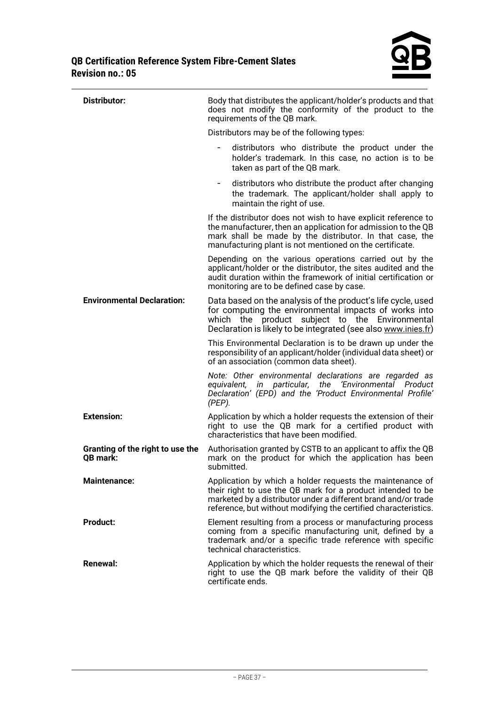

| Distributor:                                 | Body that distributes the applicant/holder's products and that<br>does not modify the conformity of the product to the<br>requirements of the QB mark.                                                                                                        |
|----------------------------------------------|---------------------------------------------------------------------------------------------------------------------------------------------------------------------------------------------------------------------------------------------------------------|
|                                              | Distributors may be of the following types:                                                                                                                                                                                                                   |
|                                              | distributors who distribute the product under the<br>holder's trademark. In this case, no action is to be<br>taken as part of the QB mark.                                                                                                                    |
|                                              | distributors who distribute the product after changing<br>$\overline{\phantom{a}}$<br>the trademark. The applicant/holder shall apply to<br>maintain the right of use.                                                                                        |
|                                              | If the distributor does not wish to have explicit reference to<br>the manufacturer, then an application for admission to the QB<br>mark shall be made by the distributor. In that case, the<br>manufacturing plant is not mentioned on the certificate.       |
|                                              | Depending on the various operations carried out by the<br>applicant/holder or the distributor, the sites audited and the<br>audit duration within the framework of initial certification or<br>monitoring are to be defined case by case.                     |
| <b>Environmental Declaration:</b>            | Data based on the analysis of the product's life cycle, used<br>for computing the environmental impacts of works into<br>which the product subject to the Environmental<br>Declaration is likely to be integrated (see also www.inies.fr)                     |
|                                              | This Environmental Declaration is to be drawn up under the<br>responsibility of an applicant/holder (individual data sheet) or<br>of an association (common data sheet).                                                                                      |
|                                              | Note: Other environmental declarations are regarded as<br>particular, the 'Environmental Product<br>equivalent, in<br>Declaration' (EPD) and the 'Product Environmental Profile'<br>$(PEP)$ .                                                                 |
| <b>Extension:</b>                            | Application by which a holder requests the extension of their<br>right to use the QB mark for a certified product with<br>characteristics that have been modified.                                                                                            |
| Granting of the right to use the<br>QB mark: | Authorisation granted by CSTB to an applicant to affix the QB<br>mark on the product for which the application has been<br>submitted.                                                                                                                         |
| <b>Maintenance:</b>                          | Application by which a holder requests the maintenance of<br>their right to use the QB mark for a product intended to be<br>marketed by a distributor under a different brand and/or trade<br>reference, but without modifying the certified characteristics. |
| <b>Product:</b>                              | Element resulting from a process or manufacturing process<br>coming from a specific manufacturing unit, defined by a<br>trademark and/or a specific trade reference with specific<br>technical characteristics.                                               |
| <b>Renewal:</b>                              | Application by which the holder requests the renewal of their<br>right to use the QB mark before the validity of their QB<br>certificate ends.                                                                                                                |